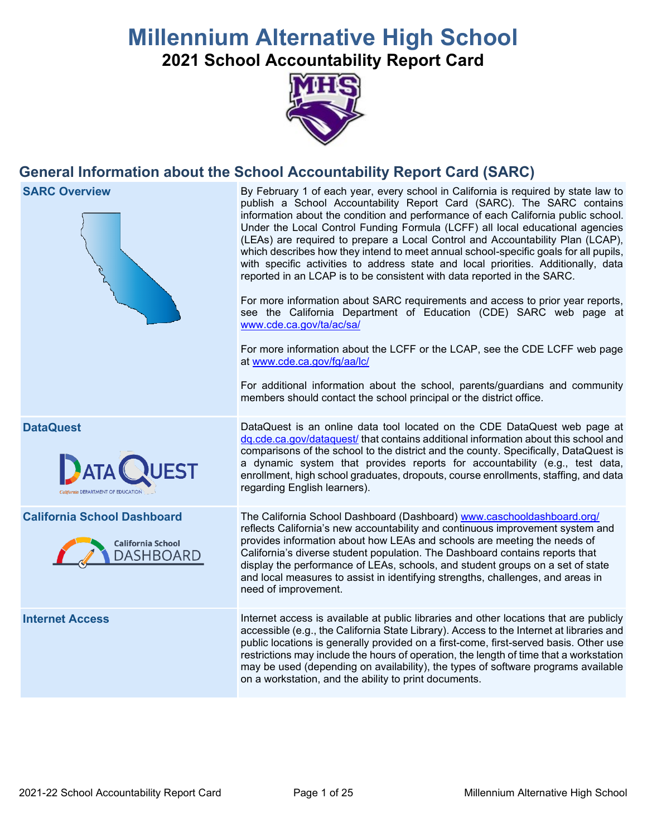# **Millennium Alternative High School**

**2021 School Accountability Report Card**



# **General Information about the School Accountability Report Card (SARC)**

**SARC Overview** By February 1 of each year, every school in California is required by state law to publish a School Accountability Report Card (SARC). The SARC contains information about the condition and performance of each California public school. Under the Local Control Funding Formula (LCFF) all local educational agencies (LEAs) are required to prepare a Local Control and Accountability Plan (LCAP), which describes how they intend to meet annual school-specific goals for all pupils, with specific activities to address state and local priorities. Additionally, data reported in an LCAP is to be consistent with data reported in the SARC. For more information about SARC requirements and access to prior year reports, see the California Department of Education (CDE) SARC web page at [www.cde.ca.gov/ta/ac/sa/](https://www.cde.ca.gov/ta/ac/sa/) For more information about the LCFF or the LCAP, see the CDE LCFF web page at [www.cde.ca.gov/fg/aa/lc/](https://www.cde.ca.gov/fg/aa/lc/) For additional information about the school, parents/guardians and community members should contact the school principal or the district office. **DataQuest** DataQuest is an online data tool located on the CDE DataQuest web page at [dq.cde.ca.gov/dataquest/](https://dq.cde.ca.gov/dataquest/) that contains additional information about this school and comparisons of the school to the district and the county. Specifically, DataQuest is a dynamic system that provides reports for accountability (e.g., test data, **BATA** enrollment, high school graduates, dropouts, course enrollments, staffing, and data regarding English learners). **California School Dashboard** The California School Dashboard (Dashboard) [www.caschooldashboard.org/](http://www.caschooldashboard.org/) reflects California's new accountability and continuous improvement system and provides information about how LEAs and schools are meeting the needs of **California School** California's diverse student population. The Dashboard contains reports that **DASHBOARD** display the performance of LEAs, schools, and student groups on a set of state and local measures to assist in identifying strengths, challenges, and areas in need of improvement. **Internet Access** Internet access is available at public libraries and other locations that are publicly accessible (e.g., the California State Library). Access to the Internet at libraries and public locations is generally provided on a first-come, first-served basis. Other use restrictions may include the hours of operation, the length of time that a workstation may be used (depending on availability), the types of software programs available on a workstation, and the ability to print documents.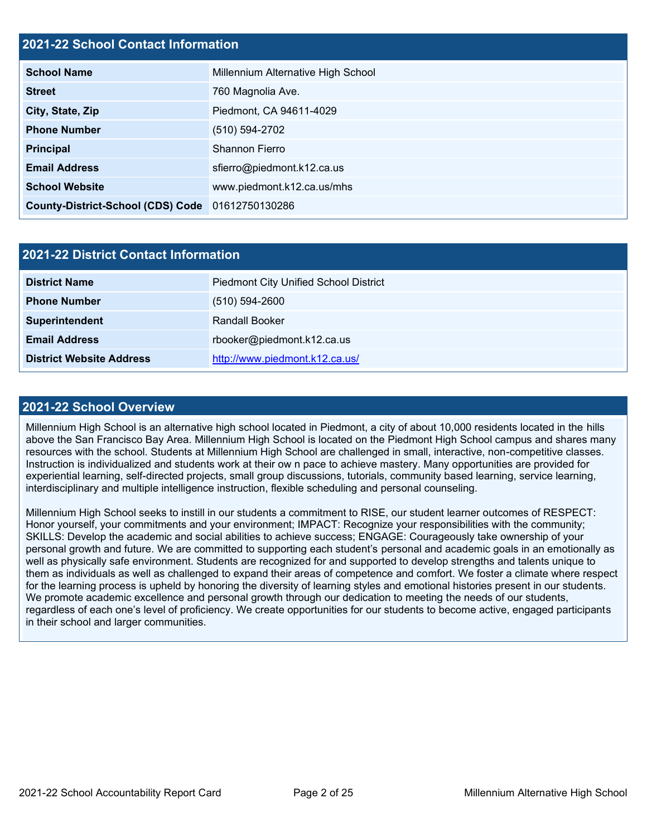## **2021-22 School Contact Information**

| <b>School Name</b>                               | Millennium Alternative High School |  |  |  |
|--------------------------------------------------|------------------------------------|--|--|--|
| <b>Street</b>                                    | 760 Magnolia Ave.                  |  |  |  |
| City, State, Zip                                 | Piedmont, CA 94611-4029            |  |  |  |
| <b>Phone Number</b>                              | (510) 594-2702                     |  |  |  |
| <b>Principal</b>                                 | Shannon Fierro                     |  |  |  |
| <b>Email Address</b>                             | sfierro@piedmont.k12.ca.us         |  |  |  |
| <b>School Website</b>                            | www.piedmont.k12.ca.us/mhs         |  |  |  |
| County-District-School (CDS) Code 01612750130286 |                                    |  |  |  |

| 2021-22 District Contact Information |                                              |  |  |  |
|--------------------------------------|----------------------------------------------|--|--|--|
| <b>District Name</b>                 | <b>Piedmont City Unified School District</b> |  |  |  |
| <b>Phone Number</b>                  | $(510) 594 - 2600$                           |  |  |  |
| Superintendent                       | <b>Randall Booker</b>                        |  |  |  |
| <b>Email Address</b>                 | rbooker@piedmont.k12.ca.us                   |  |  |  |
| <b>District Website Address</b>      | http://www.piedmont.k12.ca.us/               |  |  |  |

#### **2021-22 School Overview**

Millennium High School is an alternative high school located in Piedmont, a city of about 10,000 residents located in the hills above the San Francisco Bay Area. Millennium High School is located on the Piedmont High School campus and shares many resources with the school. Students at Millennium High School are challenged in small, interactive, non-competitive classes. Instruction is individualized and students work at their ow n pace to achieve mastery. Many opportunities are provided for experiential learning, self-directed projects, small group discussions, tutorials, community based learning, service learning, interdisciplinary and multiple intelligence instruction, flexible scheduling and personal counseling.

Millennium High School seeks to instill in our students a commitment to RISE, our student learner outcomes of RESPECT: Honor yourself, your commitments and your environment; IMPACT: Recognize your responsibilities with the community; SKILLS: Develop the academic and social abilities to achieve success; ENGAGE: Courageously take ownership of your personal growth and future. We are committed to supporting each student's personal and academic goals in an emotionally as well as physically safe environment. Students are recognized for and supported to develop strengths and talents unique to them as individuals as well as challenged to expand their areas of competence and comfort. We foster a climate where respect for the learning process is upheld by honoring the diversity of learning styles and emotional histories present in our students. We promote academic excellence and personal growth through our dedication to meeting the needs of our students, regardless of each one's level of proficiency. We create opportunities for our students to become active, engaged participants in their school and larger communities.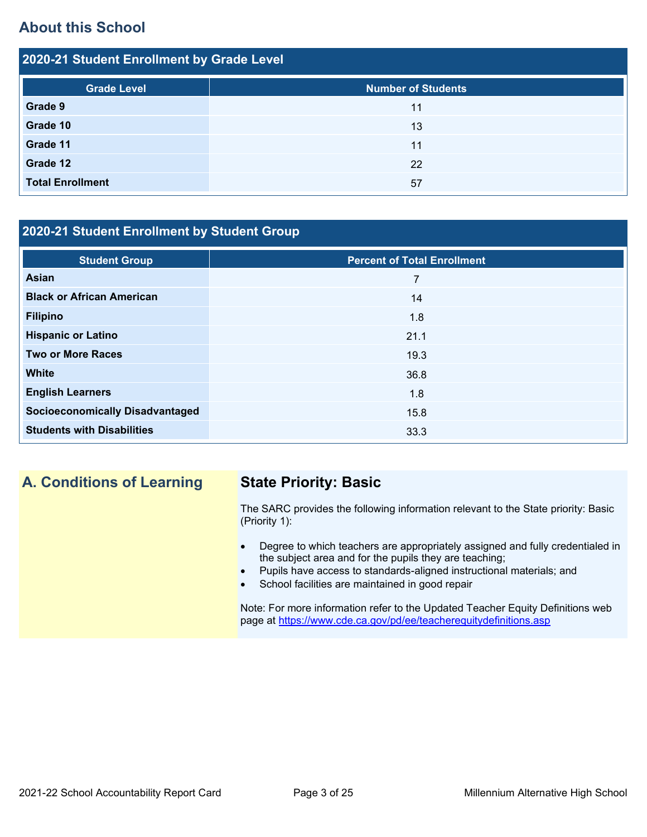# **About this School**

| 2020-21 Student Enrollment by Grade Level |                           |  |  |  |
|-------------------------------------------|---------------------------|--|--|--|
| <b>Grade Level</b>                        | <b>Number of Students</b> |  |  |  |
| Grade 9                                   | 11                        |  |  |  |
| Grade 10                                  | 13                        |  |  |  |
| Grade 11                                  | 11                        |  |  |  |
| Grade 12                                  | 22                        |  |  |  |
| <b>Total Enrollment</b>                   | 57                        |  |  |  |

### **2020-21 Student Enrollment by Student Group**

| <b>Student Group</b>                   | <b>Percent of Total Enrollment</b> |
|----------------------------------------|------------------------------------|
| Asian                                  | 7                                  |
| <b>Black or African American</b>       | 14                                 |
| <b>Filipino</b>                        | 1.8                                |
| <b>Hispanic or Latino</b>              | 21.1                               |
| <b>Two or More Races</b>               | 19.3                               |
| <b>White</b>                           | 36.8                               |
| <b>English Learners</b>                | 1.8                                |
| <b>Socioeconomically Disadvantaged</b> | 15.8                               |
| <b>Students with Disabilities</b>      | 33.3                               |

# **A. Conditions of Learning State Priority: Basic**

The SARC provides the following information relevant to the State priority: Basic (Priority 1):

- Degree to which teachers are appropriately assigned and fully credentialed in the subject area and for the pupils they are teaching;
	- Pupils have access to standards-aligned instructional materials; and
- School facilities are maintained in good repair

Note: For more information refer to the Updated Teacher Equity Definitions web page at<https://www.cde.ca.gov/pd/ee/teacherequitydefinitions.asp>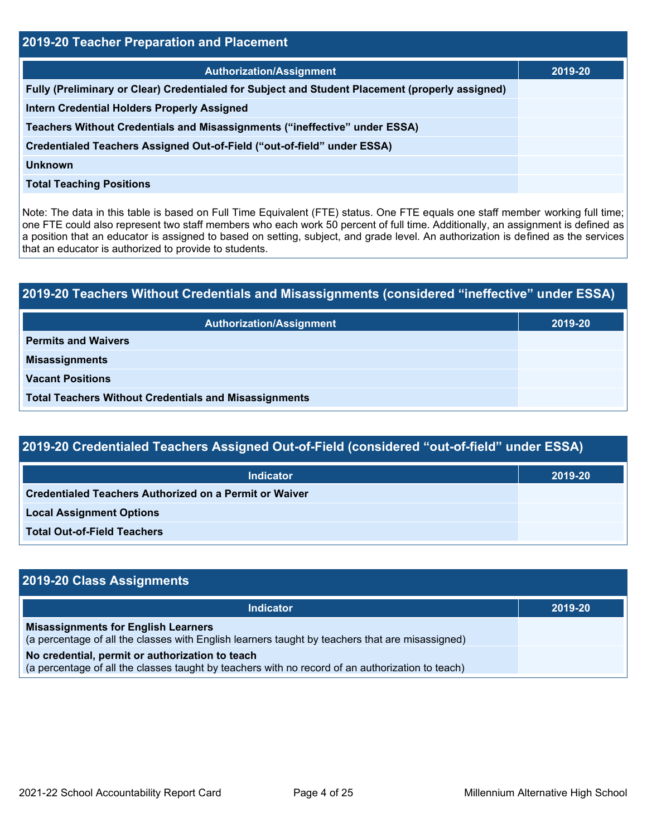| <b>2019-20 Teacher Preparation and Placement</b>                                                |         |  |  |
|-------------------------------------------------------------------------------------------------|---------|--|--|
| <b>Authorization/Assignment</b>                                                                 | 2019-20 |  |  |
| Fully (Preliminary or Clear) Credentialed for Subject and Student Placement (properly assigned) |         |  |  |
| <b>Intern Credential Holders Properly Assigned</b>                                              |         |  |  |
| Teachers Without Credentials and Misassignments ("ineffective" under ESSA)                      |         |  |  |
| Credentialed Teachers Assigned Out-of-Field ("out-of-field" under ESSA)                         |         |  |  |
| <b>Unknown</b>                                                                                  |         |  |  |
| <b>Total Teaching Positions</b>                                                                 |         |  |  |

Note: The data in this table is based on Full Time Equivalent (FTE) status. One FTE equals one staff member working full time; one FTE could also represent two staff members who each work 50 percent of full time. Additionally, an assignment is defined as a position that an educator is assigned to based on setting, subject, and grade level. An authorization is defined as the services that an educator is authorized to provide to students.

| 2019-20 Teachers Without Credentials and Misassignments (considered "ineffective" under ESSA) |         |  |  |
|-----------------------------------------------------------------------------------------------|---------|--|--|
| <b>Authorization/Assignment</b>                                                               | 2019-20 |  |  |
| <b>Permits and Waivers</b>                                                                    |         |  |  |
| <b>Misassignments</b>                                                                         |         |  |  |
| <b>Vacant Positions</b>                                                                       |         |  |  |
| <b>Total Teachers Without Credentials and Misassignments</b>                                  |         |  |  |

| <b>Indicator</b>                                              | 2019-20 |
|---------------------------------------------------------------|---------|
| <b>Credentialed Teachers Authorized on a Permit or Waiver</b> |         |
| <b>Local Assignment Options</b>                               |         |
| <b>Total Out-of-Field Teachers</b>                            |         |

| 2019-20 Class Assignments                                                                                                                           |         |  |  |
|-----------------------------------------------------------------------------------------------------------------------------------------------------|---------|--|--|
| <b>Indicator</b>                                                                                                                                    | 2019-20 |  |  |
| <b>Misassignments for English Learners</b><br>(a percentage of all the classes with English learners taught by teachers that are misassigned)       |         |  |  |
| No credential, permit or authorization to teach<br>(a percentage of all the classes taught by teachers with no record of an authorization to teach) |         |  |  |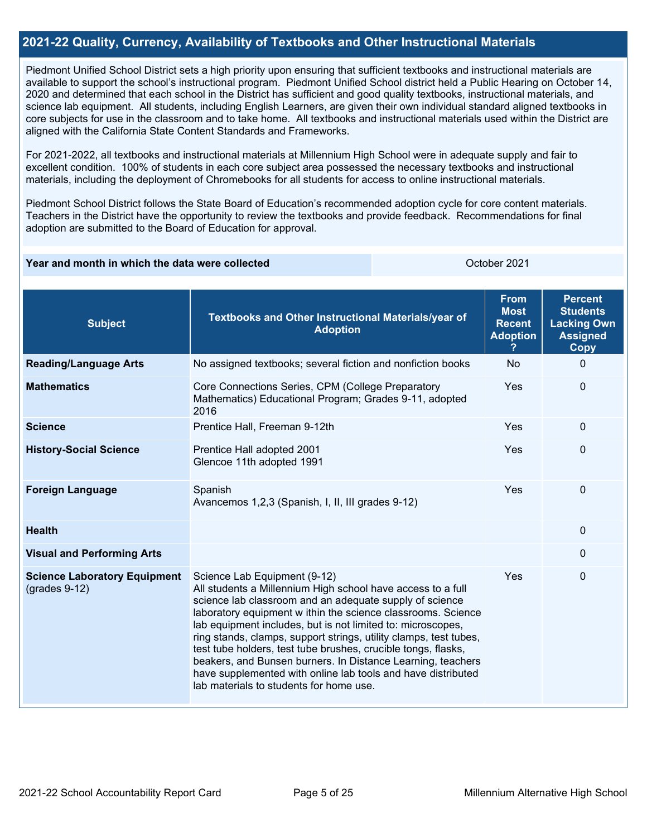#### **2021-22 Quality, Currency, Availability of Textbooks and Other Instructional Materials**

Piedmont Unified School District sets a high priority upon ensuring that sufficient textbooks and instructional materials are available to support the school's instructional program. Piedmont Unified School district held a Public Hearing on October 14, 2020 and determined that each school in the District has sufficient and good quality textbooks, instructional materials, and science lab equipment. All students, including English Learners, are given their own individual standard aligned textbooks in core subjects for use in the classroom and to take home. All textbooks and instructional materials used within the District are aligned with the California State Content Standards and Frameworks.

For 2021-2022, all textbooks and instructional materials at Millennium High School were in adequate supply and fair to excellent condition. 100% of students in each core subject area possessed the necessary textbooks and instructional materials, including the deployment of Chromebooks for all students for access to online instructional materials.

Piedmont School District follows the State Board of Education's recommended adoption cycle for core content materials. Teachers in the District have the opportunity to review the textbooks and provide feedback. Recommendations for final adoption are submitted to the Board of Education for approval.

#### **Year and month in which the data were collected Collection Contract Contract 2021**

| <b>Subject</b>                                         | Textbooks and Other Instructional Materials/year of<br><b>Adoption</b>                                                                                                                                                                                                                                                                                                                                                                                                                                                                                                                                | <b>From</b><br><b>Most</b><br><b>Recent</b><br><b>Adoption</b> | <b>Percent</b><br><b>Students</b><br><b>Lacking Own</b><br><b>Assigned</b><br><b>Copy</b> |
|--------------------------------------------------------|-------------------------------------------------------------------------------------------------------------------------------------------------------------------------------------------------------------------------------------------------------------------------------------------------------------------------------------------------------------------------------------------------------------------------------------------------------------------------------------------------------------------------------------------------------------------------------------------------------|----------------------------------------------------------------|-------------------------------------------------------------------------------------------|
| <b>Reading/Language Arts</b>                           | No assigned textbooks; several fiction and nonfiction books                                                                                                                                                                                                                                                                                                                                                                                                                                                                                                                                           | <b>No</b>                                                      | $\Omega$                                                                                  |
| <b>Mathematics</b>                                     | Core Connections Series, CPM (College Preparatory<br>Mathematics) Educational Program; Grades 9-11, adopted<br>2016                                                                                                                                                                                                                                                                                                                                                                                                                                                                                   | Yes                                                            | $\Omega$                                                                                  |
| <b>Science</b>                                         | Prentice Hall, Freeman 9-12th                                                                                                                                                                                                                                                                                                                                                                                                                                                                                                                                                                         | Yes                                                            | $\Omega$                                                                                  |
| <b>History-Social Science</b>                          | Prentice Hall adopted 2001<br>Glencoe 11th adopted 1991                                                                                                                                                                                                                                                                                                                                                                                                                                                                                                                                               | Yes                                                            | $\Omega$                                                                                  |
| <b>Foreign Language</b>                                | Spanish<br>Avancemos 1,2,3 (Spanish, I, II, III grades 9-12)                                                                                                                                                                                                                                                                                                                                                                                                                                                                                                                                          | Yes                                                            | $\Omega$                                                                                  |
| <b>Health</b>                                          |                                                                                                                                                                                                                                                                                                                                                                                                                                                                                                                                                                                                       |                                                                | $\Omega$                                                                                  |
| <b>Visual and Performing Arts</b>                      |                                                                                                                                                                                                                                                                                                                                                                                                                                                                                                                                                                                                       |                                                                | 0                                                                                         |
| <b>Science Laboratory Equipment</b><br>$(grades 9-12)$ | Science Lab Equipment (9-12)<br>All students a Millennium High school have access to a full<br>science lab classroom and an adequate supply of science<br>laboratory equipment w ithin the science classrooms. Science<br>lab equipment includes, but is not limited to: microscopes,<br>ring stands, clamps, support strings, utility clamps, test tubes,<br>test tube holders, test tube brushes, crucible tongs, flasks,<br>beakers, and Bunsen burners. In Distance Learning, teachers<br>have supplemented with online lab tools and have distributed<br>lab materials to students for home use. | Yes                                                            | 0                                                                                         |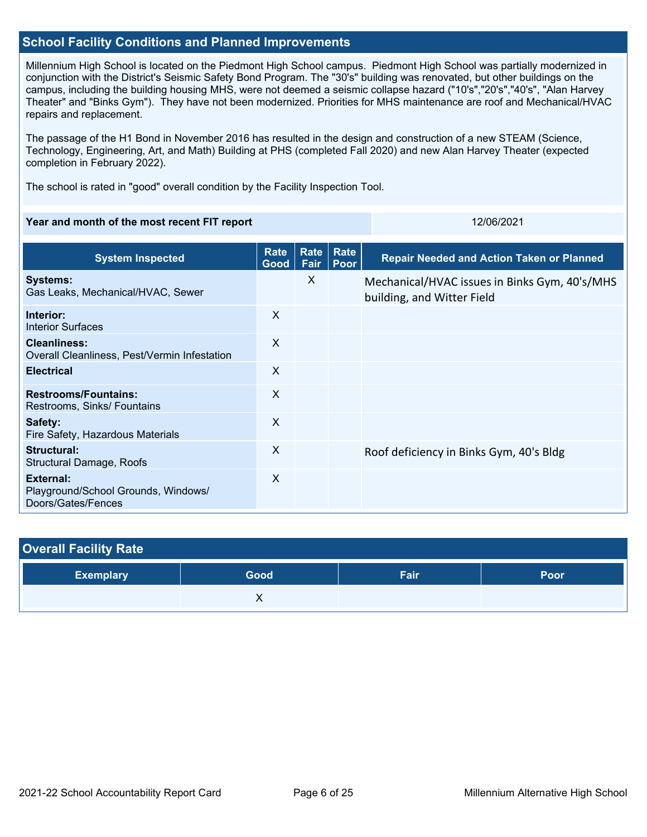#### **School Facility Conditions and Planned Improvements**

Millennium High School is located on the Piedmont High School campus. Piedmont High School was partially modernized in conjunction with the District's Seismic Safety Bond Program. The "30's" building was renovated, but other buildings on the campus, including the building housing MHS, were not deemed a seismic collapse hazard ("10's","20's","40's", "Alan Harvey Theater" and "Binks Gym"). They have not been modernized. Priorities for MHS maintenance are roof and Mechanical/HVAC repairs and replacement.

The passage of the H1 Bond in November 2016 has resulted in the design and construction of a new STEAM (Science, Technology, Engineering, Art, and Math) Building at PHS (completed Fall 2020) and new Alan Harvey Theater (expected completion in February 2022).

The school is rated in "good" overall condition by the Facility Inspection Tool.

#### **Year and month of the most recent FIT report** 12/06/2021 12/06/2021

| <b>System Inspected</b>                                                | <b>Rate</b><br>Good       | Rate<br>Fair | Rate<br>Poor | <b>Repair Needed and Action Taken or Planned</b>                            |
|------------------------------------------------------------------------|---------------------------|--------------|--------------|-----------------------------------------------------------------------------|
| <b>Systems:</b><br>Gas Leaks, Mechanical/HVAC, Sewer                   |                           | X            |              | Mechanical/HVAC issues in Binks Gym, 40's/MHS<br>building, and Witter Field |
| Interior:<br>Interior Surfaces                                         | X                         |              |              |                                                                             |
| <b>Cleanliness:</b><br>Overall Cleanliness, Pest/Vermin Infestation    | $\mathsf{X}$              |              |              |                                                                             |
| <b>Electrical</b>                                                      | $\boldsymbol{\mathsf{X}}$ |              |              |                                                                             |
| <b>Restrooms/Fountains:</b><br>Restrooms, Sinks/ Fountains             | X                         |              |              |                                                                             |
| Safety:<br>Fire Safety, Hazardous Materials                            | X                         |              |              |                                                                             |
| Structural:<br>Structural Damage, Roofs                                | $\boldsymbol{\mathsf{X}}$ |              |              | Roof deficiency in Binks Gym, 40's Bldg                                     |
| External:<br>Playground/School Grounds, Windows/<br>Doors/Gates/Fences | X                         |              |              |                                                                             |

| <b>Overall Facility Rate</b> |      |      |      |  |  |
|------------------------------|------|------|------|--|--|
| <b>Exemplary</b>             | Good | Fair | Poor |  |  |
|                              |      |      |      |  |  |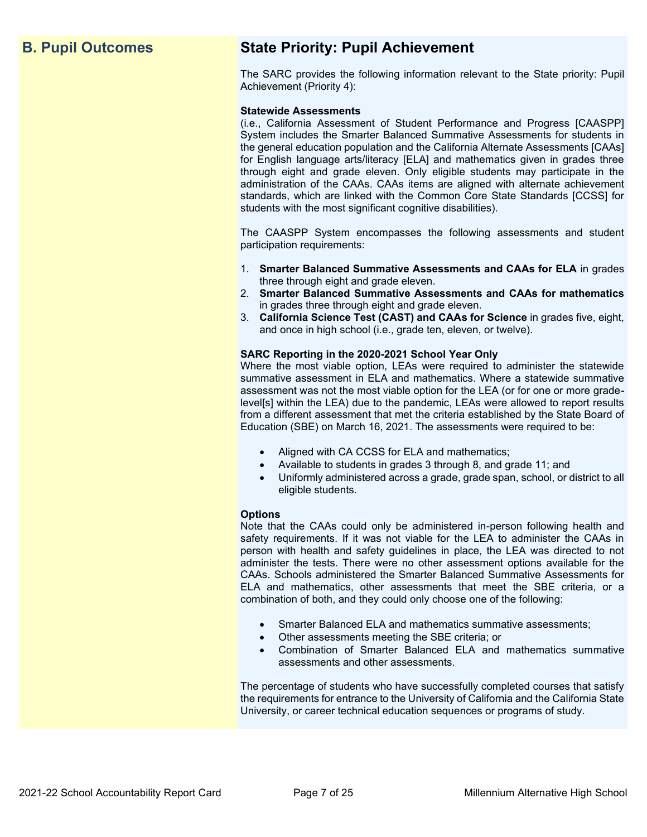# **B. Pupil Outcomes State Priority: Pupil Achievement**

The SARC provides the following information relevant to the State priority: Pupil Achievement (Priority 4):

#### **Statewide Assessments**

(i.e., California Assessment of Student Performance and Progress [CAASPP] System includes the Smarter Balanced Summative Assessments for students in the general education population and the California Alternate Assessments [CAAs] for English language arts/literacy [ELA] and mathematics given in grades three through eight and grade eleven. Only eligible students may participate in the administration of the CAAs. CAAs items are aligned with alternate achievement standards, which are linked with the Common Core State Standards [CCSS] for students with the most significant cognitive disabilities).

The CAASPP System encompasses the following assessments and student participation requirements:

- 1. **Smarter Balanced Summative Assessments and CAAs for ELA** in grades three through eight and grade eleven.
- 2. **Smarter Balanced Summative Assessments and CAAs for mathematics** in grades three through eight and grade eleven.
- 3. **California Science Test (CAST) and CAAs for Science** in grades five, eight, and once in high school (i.e., grade ten, eleven, or twelve).

#### **SARC Reporting in the 2020-2021 School Year Only**

Where the most viable option, LEAs were required to administer the statewide summative assessment in ELA and mathematics. Where a statewide summative assessment was not the most viable option for the LEA (or for one or more gradelevel[s] within the LEA) due to the pandemic, LEAs were allowed to report results from a different assessment that met the criteria established by the State Board of Education (SBE) on March 16, 2021. The assessments were required to be:

- Aligned with CA CCSS for ELA and mathematics;
- Available to students in grades 3 through 8, and grade 11; and
- Uniformly administered across a grade, grade span, school, or district to all eligible students.

#### **Options**

Note that the CAAs could only be administered in-person following health and safety requirements. If it was not viable for the LEA to administer the CAAs in person with health and safety guidelines in place, the LEA was directed to not administer the tests. There were no other assessment options available for the CAAs. Schools administered the Smarter Balanced Summative Assessments for ELA and mathematics, other assessments that meet the SBE criteria, or a combination of both, and they could only choose one of the following:

- Smarter Balanced ELA and mathematics summative assessments;
- Other assessments meeting the SBE criteria; or
- Combination of Smarter Balanced ELA and mathematics summative assessments and other assessments.

The percentage of students who have successfully completed courses that satisfy the requirements for entrance to the University of California and the California State University, or career technical education sequences or programs of study.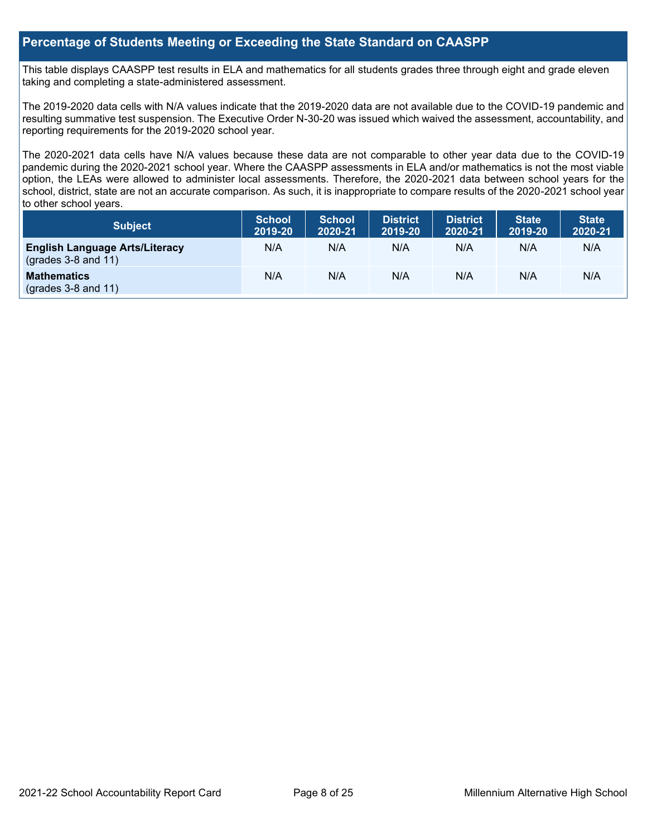#### **Percentage of Students Meeting or Exceeding the State Standard on CAASPP**

This table displays CAASPP test results in ELA and mathematics for all students grades three through eight and grade eleven taking and completing a state-administered assessment.

The 2019-2020 data cells with N/A values indicate that the 2019-2020 data are not available due to the COVID-19 pandemic and resulting summative test suspension. The Executive Order N-30-20 was issued which waived the assessment, accountability, and reporting requirements for the 2019-2020 school year.

The 2020-2021 data cells have N/A values because these data are not comparable to other year data due to the COVID-19 pandemic during the 2020-2021 school year. Where the CAASPP assessments in ELA and/or mathematics is not the most viable option, the LEAs were allowed to administer local assessments. Therefore, the 2020-2021 data between school years for the school, district, state are not an accurate comparison. As such, it is inappropriate to compare results of the 2020-2021 school year to other school years.

| Subject                                                              | <b>School</b><br>2019-20 | <b>School</b><br>2020-21 | <b>District</b><br>2019-20 | <b>District</b><br>2020-21 | <b>State</b><br>2019-20 | <b>State</b><br>2020-21 |
|----------------------------------------------------------------------|--------------------------|--------------------------|----------------------------|----------------------------|-------------------------|-------------------------|
| <b>English Language Arts/Literacy</b><br>$\left($ grades 3-8 and 11) | N/A                      | N/A                      | N/A                        | N/A                        | N/A                     | N/A                     |
| <b>Mathematics</b><br>$(grades 3-8 and 11)$                          | N/A                      | N/A                      | N/A                        | N/A                        | N/A                     | N/A                     |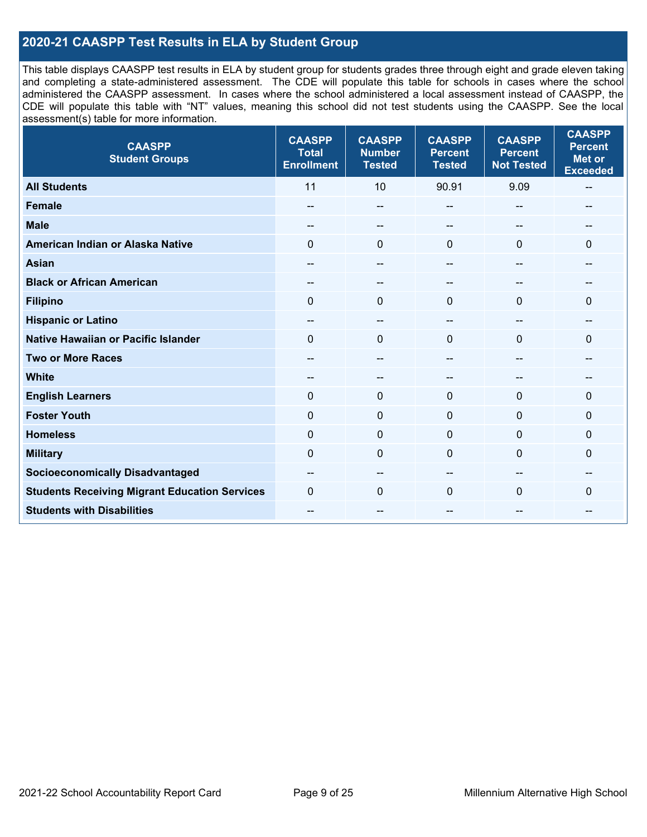### **2020-21 CAASPP Test Results in ELA by Student Group**

This table displays CAASPP test results in ELA by student group for students grades three through eight and grade eleven taking and completing a state-administered assessment. The CDE will populate this table for schools in cases where the school administered the CAASPP assessment. In cases where the school administered a local assessment instead of CAASPP, the CDE will populate this table with "NT" values, meaning this school did not test students using the CAASPP. See the local assessment(s) table for more information.

| <b>CAASPP</b><br><b>Student Groups</b>               | <b>CAASPP</b><br><b>Total</b><br><b>Enrollment</b> | <b>CAASPP</b><br><b>Number</b><br><b>Tested</b> | <b>CAASPP</b><br><b>Percent</b><br><b>Tested</b> | <b>CAASPP</b><br><b>Percent</b><br><b>Not Tested</b> | <b>CAASPP</b><br><b>Percent</b><br><b>Met or</b><br><b>Exceeded</b> |
|------------------------------------------------------|----------------------------------------------------|-------------------------------------------------|--------------------------------------------------|------------------------------------------------------|---------------------------------------------------------------------|
| <b>All Students</b>                                  | 11                                                 | 10                                              | 90.91                                            | 9.09                                                 | --                                                                  |
| <b>Female</b>                                        | --                                                 | $\sim$                                          | --                                               | --                                                   | --                                                                  |
| <b>Male</b>                                          | --                                                 | $\overline{\phantom{m}}$                        | --                                               | $\sim$                                               | --                                                                  |
| American Indian or Alaska Native                     | $\Omega$                                           | $\mathbf 0$                                     | $\mathbf{0}$                                     | $\Omega$                                             | $\Omega$                                                            |
| <b>Asian</b>                                         | $-$                                                | $\sim$ $\sim$                                   | $-$                                              | $\overline{a}$                                       | $-$                                                                 |
| <b>Black or African American</b>                     | $\qquad \qquad -$                                  | $\overline{\phantom{m}}$                        | --                                               | --                                                   | --                                                                  |
| <b>Filipino</b>                                      | $\Omega$                                           | $\mathbf 0$                                     | $\Omega$                                         | $\Omega$                                             | $\Omega$                                                            |
| <b>Hispanic or Latino</b>                            | --                                                 | $\overline{\phantom{m}}$                        | $\hspace{0.05cm}$ – $\hspace{0.05cm}$            | $\sim$                                               | --                                                                  |
| <b>Native Hawaiian or Pacific Islander</b>           | $\Omega$                                           | $\pmb{0}$                                       | $\mathbf 0$                                      | $\overline{0}$                                       | 0                                                                   |
| <b>Two or More Races</b>                             | --                                                 | $\sim$                                          | --                                               | --                                                   | --                                                                  |
| <b>White</b>                                         |                                                    | $\sim$                                          | --                                               | --                                                   |                                                                     |
| <b>English Learners</b>                              | $\Omega$                                           | $\mathbf 0$                                     | $\mathbf{0}$                                     | $\Omega$                                             | $\Omega$                                                            |
| <b>Foster Youth</b>                                  | $\Omega$                                           | $\mathbf 0$                                     | $\mathbf{0}$                                     | $\mathbf{0}$                                         | 0                                                                   |
| <b>Homeless</b>                                      | $\mathbf 0$                                        | $\pmb{0}$                                       | $\mathbf{0}$                                     | $\mathbf{0}$                                         | 0                                                                   |
| <b>Military</b>                                      | $\Omega$                                           | $\mathbf 0$                                     | $\mathbf{0}$                                     | $\mathbf{0}$                                         | 0                                                                   |
| <b>Socioeconomically Disadvantaged</b>               | --                                                 | --                                              |                                                  |                                                      |                                                                     |
| <b>Students Receiving Migrant Education Services</b> | $\Omega$                                           | $\mathbf 0$                                     | $\Omega$                                         | $\mathbf{0}$                                         | 0                                                                   |
| <b>Students with Disabilities</b>                    | $- -$                                              | $\overline{\phantom{a}}$                        | --                                               | --                                                   | --                                                                  |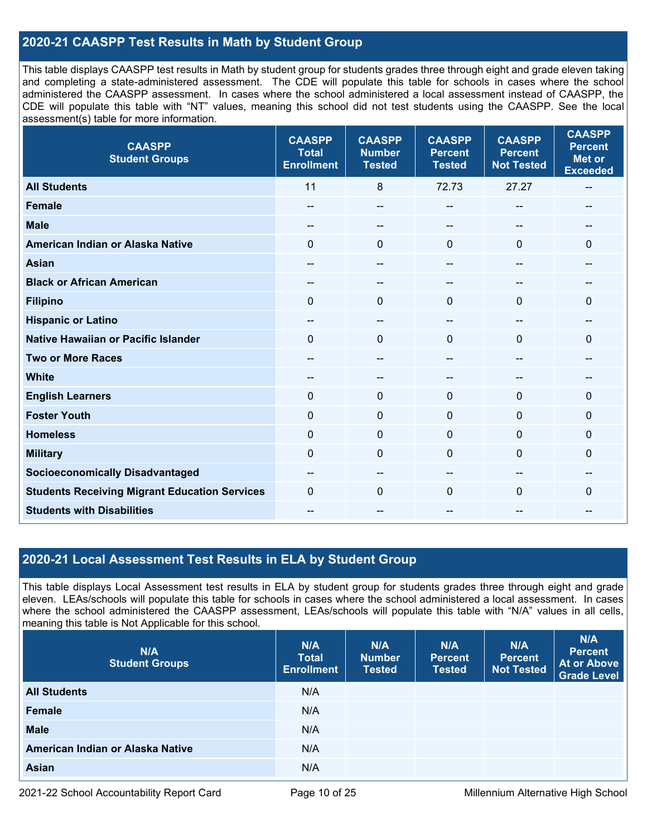### **2020-21 CAASPP Test Results in Math by Student Group**

This table displays CAASPP test results in Math by student group for students grades three through eight and grade eleven taking and completing a state-administered assessment. The CDE will populate this table for schools in cases where the school administered the CAASPP assessment. In cases where the school administered a local assessment instead of CAASPP, the CDE will populate this table with "NT" values, meaning this school did not test students using the CAASPP. See the local assessment(s) table for more information.

| <b>CAASPP</b><br><b>Student Groups</b>               | <b>CAASPP</b><br><b>Total</b><br><b>Enrollment</b> | <b>CAASPP</b><br><b>Number</b><br><b>Tested</b> | <b>CAASPP</b><br><b>Percent</b><br><b>Tested</b> | <b>CAASPP</b><br><b>Percent</b><br><b>Not Tested</b> | <b>CAASPP</b><br><b>Percent</b><br><b>Met or</b><br><b>Exceeded</b> |
|------------------------------------------------------|----------------------------------------------------|-------------------------------------------------|--------------------------------------------------|------------------------------------------------------|---------------------------------------------------------------------|
| <b>All Students</b>                                  | 11                                                 | 8                                               | 72.73                                            | 27.27                                                | $\sim$                                                              |
| <b>Female</b>                                        | --                                                 | --                                              | --                                               | --                                                   |                                                                     |
| <b>Male</b>                                          | --                                                 | --                                              | --                                               |                                                      | --                                                                  |
| American Indian or Alaska Native                     | $\mathbf{0}$                                       | $\mathbf 0$                                     | $\mathbf{0}$                                     | $\Omega$                                             | $\mathbf 0$                                                         |
| <b>Asian</b>                                         | --                                                 | --                                              |                                                  |                                                      | --                                                                  |
| <b>Black or African American</b>                     | $- -$                                              | --                                              | --                                               | --                                                   | $- -$                                                               |
| <b>Filipino</b>                                      | $\mathbf{0}$                                       | $\mathbf 0$                                     | $\mathbf{0}$                                     | $\Omega$                                             | $\Omega$                                                            |
| <b>Hispanic or Latino</b>                            | --                                                 | $-$                                             | --                                               | --                                                   | --                                                                  |
| <b>Native Hawaiian or Pacific Islander</b>           | $\mathbf{0}$                                       | $\mathbf 0$                                     | $\mathbf 0$                                      | $\Omega$                                             | $\mathbf 0$                                                         |
| <b>Two or More Races</b>                             | --                                                 | --                                              | --                                               | --                                                   |                                                                     |
| <b>White</b>                                         | $\overline{\phantom{m}}$                           | --                                              | --                                               | --                                                   | $-$                                                                 |
| <b>English Learners</b>                              | $\mathbf{0}$                                       | $\mathbf{0}$                                    | $\mathbf 0$                                      | 0                                                    | $\Omega$                                                            |
| <b>Foster Youth</b>                                  | $\mathbf{0}$                                       | $\mathbf 0$                                     | $\mathbf 0$                                      | $\Omega$                                             | $\mathbf 0$                                                         |
| <b>Homeless</b>                                      | $\mathbf 0$                                        | $\mathbf 0$                                     | $\mathbf{0}$                                     | $\Omega$                                             | 0                                                                   |
| <b>Military</b>                                      | $\mathbf{0}$                                       | $\pmb{0}$                                       | $\mathbf 0$                                      | $\Omega$                                             | 0                                                                   |
| <b>Socioeconomically Disadvantaged</b>               | $\overline{\phantom{m}}$                           | --                                              | --                                               | --                                                   | $\hspace{0.05cm}$ – $\hspace{0.05cm}$                               |
| <b>Students Receiving Migrant Education Services</b> | $\mathbf{0}$                                       | 0                                               | $\mathbf 0$                                      | $\Omega$                                             | 0                                                                   |
| <b>Students with Disabilities</b>                    |                                                    | --                                              |                                                  |                                                      | --                                                                  |

#### **2020-21 Local Assessment Test Results in ELA by Student Group**

This table displays Local Assessment test results in ELA by student group for students grades three through eight and grade eleven. LEAs/schools will populate this table for schools in cases where the school administered a local assessment. In cases where the school administered the CAASPP assessment, LEAs/schools will populate this table with "N/A" values in all cells, meaning this table is Not Applicable for this school.

| N/A<br><b>Student Groups</b>     | N/A<br><b>Total</b><br><b>Enrollment</b> | N/A<br><b>Number</b><br><b>Tested</b> | N/A<br><b>Percent</b><br><b>Tested</b> | N/A<br><b>Percent</b><br><b>Not Tested</b> | N/A<br><b>Percent</b><br><b>At or Above</b><br><b>Grade Level</b> |
|----------------------------------|------------------------------------------|---------------------------------------|----------------------------------------|--------------------------------------------|-------------------------------------------------------------------|
| <b>All Students</b>              | N/A                                      |                                       |                                        |                                            |                                                                   |
| <b>Female</b>                    | N/A                                      |                                       |                                        |                                            |                                                                   |
| <b>Male</b>                      | N/A                                      |                                       |                                        |                                            |                                                                   |
| American Indian or Alaska Native | N/A                                      |                                       |                                        |                                            |                                                                   |
| <b>Asian</b>                     | N/A                                      |                                       |                                        |                                            |                                                                   |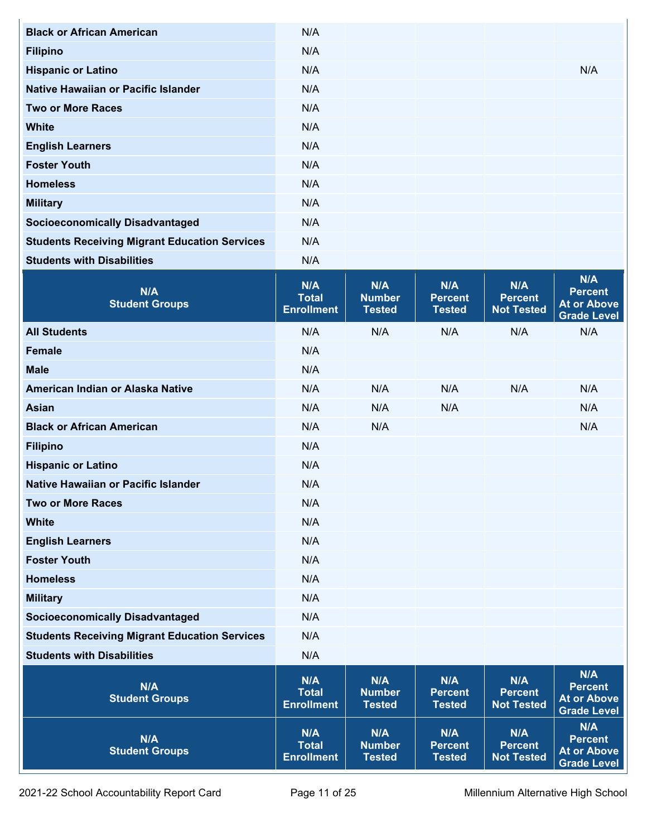| <b>Black or African American</b>                     | N/A                                      |                                       |                                        |                                            |                                                                   |
|------------------------------------------------------|------------------------------------------|---------------------------------------|----------------------------------------|--------------------------------------------|-------------------------------------------------------------------|
| <b>Filipino</b>                                      | N/A                                      |                                       |                                        |                                            |                                                                   |
| <b>Hispanic or Latino</b>                            | N/A                                      |                                       |                                        |                                            | N/A                                                               |
| <b>Native Hawaiian or Pacific Islander</b>           | N/A                                      |                                       |                                        |                                            |                                                                   |
| <b>Two or More Races</b>                             | N/A                                      |                                       |                                        |                                            |                                                                   |
| <b>White</b>                                         | N/A                                      |                                       |                                        |                                            |                                                                   |
| <b>English Learners</b>                              | N/A                                      |                                       |                                        |                                            |                                                                   |
| <b>Foster Youth</b>                                  | N/A                                      |                                       |                                        |                                            |                                                                   |
| <b>Homeless</b>                                      | N/A                                      |                                       |                                        |                                            |                                                                   |
| <b>Military</b>                                      | N/A                                      |                                       |                                        |                                            |                                                                   |
| <b>Socioeconomically Disadvantaged</b>               | N/A                                      |                                       |                                        |                                            |                                                                   |
| <b>Students Receiving Migrant Education Services</b> | N/A                                      |                                       |                                        |                                            |                                                                   |
| <b>Students with Disabilities</b>                    | N/A                                      |                                       |                                        |                                            |                                                                   |
| N/A<br><b>Student Groups</b>                         | N/A<br><b>Total</b><br><b>Enrollment</b> | N/A<br><b>Number</b><br><b>Tested</b> | N/A<br><b>Percent</b><br><b>Tested</b> | N/A<br><b>Percent</b><br><b>Not Tested</b> | N/A<br><b>Percent</b><br><b>At or Above</b><br><b>Grade Level</b> |
| <b>All Students</b>                                  | N/A                                      | N/A                                   | N/A                                    | N/A                                        | N/A                                                               |
| <b>Female</b>                                        | N/A                                      |                                       |                                        |                                            |                                                                   |
| <b>Male</b>                                          | N/A                                      |                                       |                                        |                                            |                                                                   |
| American Indian or Alaska Native                     | N/A                                      | N/A                                   | N/A                                    | N/A                                        | N/A                                                               |
| <b>Asian</b>                                         | N/A                                      | N/A                                   | N/A                                    |                                            | N/A                                                               |
| <b>Black or African American</b>                     | N/A                                      | N/A                                   |                                        |                                            | N/A                                                               |
| <b>Filipino</b>                                      | N/A                                      |                                       |                                        |                                            |                                                                   |
| <b>Hispanic or Latino</b>                            | N/A                                      |                                       |                                        |                                            |                                                                   |
| <b>Native Hawaiian or Pacific Islander</b>           | N/A                                      |                                       |                                        |                                            |                                                                   |
| <b>Two or More Races</b>                             | N/A                                      |                                       |                                        |                                            |                                                                   |
| <b>White</b>                                         | N/A                                      |                                       |                                        |                                            |                                                                   |
| <b>English Learners</b>                              | N/A                                      |                                       |                                        |                                            |                                                                   |
| <b>Foster Youth</b>                                  | N/A                                      |                                       |                                        |                                            |                                                                   |
| <b>Homeless</b>                                      | N/A                                      |                                       |                                        |                                            |                                                                   |
| <b>Military</b>                                      | N/A                                      |                                       |                                        |                                            |                                                                   |
| <b>Socioeconomically Disadvantaged</b>               | N/A                                      |                                       |                                        |                                            |                                                                   |
| <b>Students Receiving Migrant Education Services</b> | N/A                                      |                                       |                                        |                                            |                                                                   |
| <b>Students with Disabilities</b>                    | N/A                                      |                                       |                                        |                                            |                                                                   |
| N/A<br><b>Student Groups</b>                         | N/A<br><b>Total</b><br><b>Enrollment</b> | N/A<br><b>Number</b><br><b>Tested</b> | N/A<br><b>Percent</b><br><b>Tested</b> | N/A<br><b>Percent</b><br><b>Not Tested</b> | N/A<br><b>Percent</b><br><b>At or Above</b><br><b>Grade Level</b> |
| N/A<br><b>Student Groups</b>                         | N/A<br><b>Total</b><br><b>Enrollment</b> | N/A<br><b>Number</b><br><b>Tested</b> | N/A<br><b>Percent</b><br><b>Tested</b> | N/A<br><b>Percent</b><br><b>Not Tested</b> | N/A<br><b>Percent</b><br><b>At or Above</b><br><b>Grade Level</b> |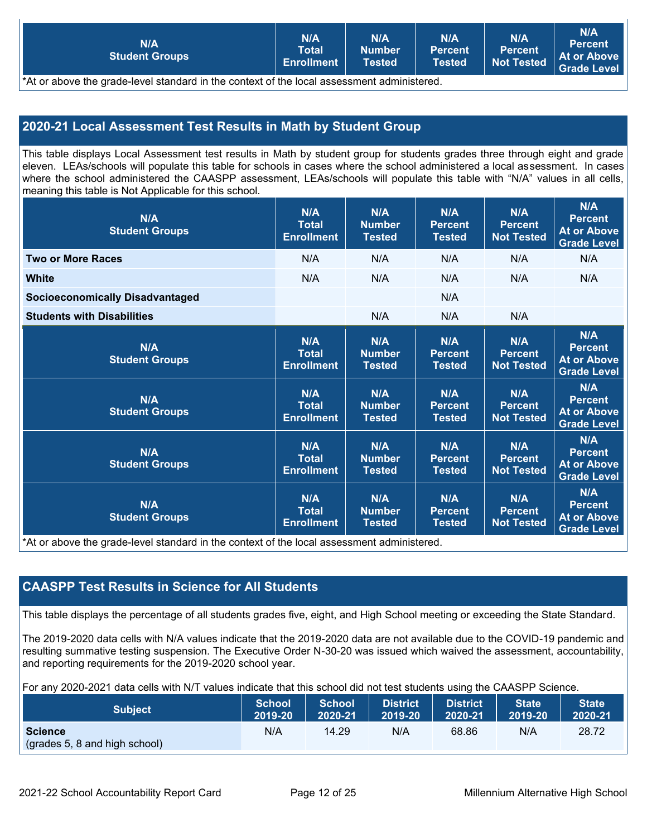| <b>Total</b><br><b>Percent</b><br><b>Number</b><br><b>Percent</b><br>At or Above<br><b>Student Groups</b><br><b>Not Tested</b><br>Enrollment<br>Tested<br><b>Tested</b><br>Grade Level |
|----------------------------------------------------------------------------------------------------------------------------------------------------------------------------------------|
|----------------------------------------------------------------------------------------------------------------------------------------------------------------------------------------|

 $^{\circ}$ At or above the grade-level standard in the context of the local assessment administered.

### **2020-21 Local Assessment Test Results in Math by Student Group**

This table displays Local Assessment test results in Math by student group for students grades three through eight and grade eleven. LEAs/schools will populate this table for schools in cases where the school administered a local assessment. In cases where the school administered the CAASPP assessment, LEAs/schools will populate this table with "N/A" values in all cells, meaning this table is Not Applicable for this school.

| N/A<br><b>Student Groups</b>                                                                                 | N/A<br><b>Total</b><br><b>Enrollment</b> | N/A<br><b>Number</b><br><b>Tested</b> | N/A<br><b>Percent</b><br><b>Tested</b> | N/A<br><b>Percent</b><br><b>Not Tested</b> | <b>N/A</b><br><b>Percent</b><br><b>At or Above</b><br><b>Grade Level</b> |
|--------------------------------------------------------------------------------------------------------------|------------------------------------------|---------------------------------------|----------------------------------------|--------------------------------------------|--------------------------------------------------------------------------|
| <b>Two or More Races</b>                                                                                     | N/A                                      | N/A                                   | N/A                                    | N/A                                        | N/A                                                                      |
| <b>White</b>                                                                                                 | N/A                                      | N/A                                   | N/A                                    | N/A                                        | N/A                                                                      |
| <b>Socioeconomically Disadvantaged</b>                                                                       |                                          |                                       | N/A                                    |                                            |                                                                          |
| <b>Students with Disabilities</b>                                                                            |                                          | N/A                                   | N/A                                    | N/A                                        |                                                                          |
| N/A<br><b>Student Groups</b>                                                                                 | N/A<br><b>Total</b><br><b>Enrollment</b> | N/A<br><b>Number</b><br><b>Tested</b> | N/A<br><b>Percent</b><br><b>Tested</b> | N/A<br><b>Percent</b><br><b>Not Tested</b> | N/A<br><b>Percent</b><br><b>At or Above</b><br><b>Grade Level</b>        |
| N/A<br><b>Student Groups</b>                                                                                 | N/A<br><b>Total</b><br><b>Enrollment</b> | N/A<br><b>Number</b><br><b>Tested</b> | N/A<br><b>Percent</b><br><b>Tested</b> | N/A<br><b>Percent</b><br><b>Not Tested</b> | N/A<br><b>Percent</b><br><b>At or Above</b><br><b>Grade Level</b>        |
| N/A<br><b>Student Groups</b>                                                                                 | N/A<br><b>Total</b><br><b>Enrollment</b> | N/A<br><b>Number</b><br><b>Tested</b> | N/A<br><b>Percent</b><br><b>Tested</b> | N/A<br><b>Percent</b><br><b>Not Tested</b> | N/A<br><b>Percent</b><br><b>At or Above</b><br><b>Grade Level</b>        |
| N/A<br><b>Student Groups</b><br>the contract of the contract of the state of the contract of the contract of | N/A<br><b>Total</b><br><b>Enrollment</b> | N/A<br><b>Number</b><br><b>Tested</b> | N/A<br><b>Percent</b><br><b>Tested</b> | N/A<br><b>Percent</b><br><b>Not Tested</b> | N/A<br><b>Percent</b><br><b>At or Above</b><br><b>Grade Level</b>        |

\*At or above the grade-level standard in the context of the local assessment administered.

#### **CAASPP Test Results in Science for All Students**

This table displays the percentage of all students grades five, eight, and High School meeting or exceeding the State Standard.

The 2019-2020 data cells with N/A values indicate that the 2019-2020 data are not available due to the COVID-19 pandemic and resulting summative testing suspension. The Executive Order N-30-20 was issued which waived the assessment, accountability, and reporting requirements for the 2019-2020 school year.

For any 2020-2021 data cells with N/T values indicate that this school did not test students using the CAASPP Science.

| <b>Subject</b>                                  | <b>School</b> | <b>School</b> | <b>District</b> | <b>District</b> | <b>State</b> | <b>State</b> |
|-------------------------------------------------|---------------|---------------|-----------------|-----------------|--------------|--------------|
|                                                 | 2019-20       | 2020-21       | 2019-20         | 2020-21         | 2019-20      | 2020-21      |
| <b>Science</b><br>(grades 5, 8 and high school) | N/A           | 14.29         | N/A             | 68.86           | N/A          | 28.72        |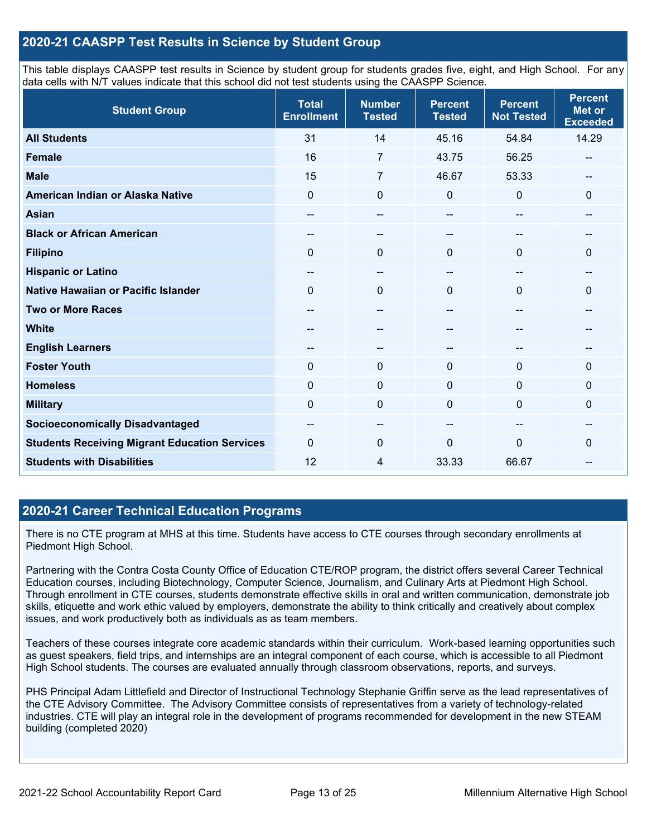#### **2020-21 CAASPP Test Results in Science by Student Group**

This table displays CAASPP test results in Science by student group for students grades five, eight, and High School. For any data cells with N/T values indicate that this school did not test students using the CAASPP Science.

| <b>Student Group</b>                                 | <b>Total</b><br><b>Enrollment</b> | <b>Number</b><br><b>Tested</b> | <b>Percent</b><br><b>Tested</b> | <b>Percent</b><br><b>Not Tested</b> | <b>Percent</b><br><b>Met or</b><br><b>Exceeded</b> |
|------------------------------------------------------|-----------------------------------|--------------------------------|---------------------------------|-------------------------------------|----------------------------------------------------|
| <b>All Students</b>                                  | 31                                | 14                             | 45.16                           | 54.84                               | 14.29                                              |
| <b>Female</b>                                        | 16                                | $\overline{7}$                 | 43.75                           | 56.25                               | --                                                 |
| <b>Male</b>                                          | 15                                | $\overline{7}$                 | 46.67                           | 53.33                               | --                                                 |
| American Indian or Alaska Native                     | $\Omega$                          | $\mathbf 0$                    | 0                               | $\mathbf{0}$                        | 0                                                  |
| <b>Asian</b>                                         | --                                | $\overline{\phantom{a}}$       | --                              | $\overline{\phantom{m}}$            | --                                                 |
| <b>Black or African American</b>                     | --                                | --                             |                                 | --                                  | --                                                 |
| <b>Filipino</b>                                      | $\Omega$                          | $\mathbf 0$                    | $\mathbf{0}$                    | $\mathbf{0}$                        | 0                                                  |
| <b>Hispanic or Latino</b>                            | --                                | $\qquad \qquad -$              | --                              | $\overline{\phantom{m}}$            | --                                                 |
| Native Hawaiian or Pacific Islander                  | $\Omega$                          | $\mathbf 0$                    | $\Omega$                        | $\Omega$                            | 0                                                  |
| <b>Two or More Races</b>                             | --                                | --                             |                                 | --                                  | --                                                 |
| <b>White</b>                                         | --                                | --                             | --                              | --                                  | --                                                 |
| <b>English Learners</b>                              | $- -$                             | $\qquad \qquad -$              | --                              | $\hspace{0.05cm}$                   | --                                                 |
| <b>Foster Youth</b>                                  | $\mathbf 0$                       | $\mathbf 0$                    | $\mathbf{0}$                    | $\mathbf{0}$                        | $\mathbf{0}$                                       |
| <b>Homeless</b>                                      | $\mathbf 0$                       | $\mathbf 0$                    | $\mathbf{0}$                    | $\mathbf{0}$                        | 0                                                  |
| <b>Military</b>                                      | 0                                 | $\mathbf 0$                    | $\mathbf 0$                     | $\mathbf{0}$                        | 0                                                  |
| <b>Socioeconomically Disadvantaged</b>               | --                                | $\overline{\phantom{a}}$       | --                              | $\hspace{0.05cm}$                   | --                                                 |
| <b>Students Receiving Migrant Education Services</b> | $\Omega$                          | $\mathbf 0$                    | 0                               | $\mathbf 0$                         | $\mathbf{0}$                                       |
| <b>Students with Disabilities</b>                    | 12                                | 4                              | 33.33                           | 66.67                               | --                                                 |

#### **2020-21 Career Technical Education Programs**

There is no CTE program at MHS at this time. Students have access to CTE courses through secondary enrollments at Piedmont High School.

Partnering with the Contra Costa County Office of Education CTE/ROP program, the district offers several Career Technical Education courses, including Biotechnology, Computer Science, Journalism, and Culinary Arts at Piedmont High School. Through enrollment in CTE courses, students demonstrate effective skills in oral and written communication, demonstrate job skills, etiquette and work ethic valued by employers, demonstrate the ability to think critically and creatively about complex issues, and work productively both as individuals as as team members.

Teachers of these courses integrate core academic standards within their curriculum. Work-based learning opportunities such as guest speakers, field trips, and internships are an integral component of each course, which is accessible to all Piedmont High School students. The courses are evaluated annually through classroom observations, reports, and surveys.

PHS Principal Adam Littlefield and Director of Instructional Technology Stephanie Griffin serve as the lead representatives of the CTE Advisory Committee. The Advisory Committee consists of representatives from a variety of technology-related industries. CTE will play an integral role in the development of programs recommended for development in the new STEAM building (completed 2020)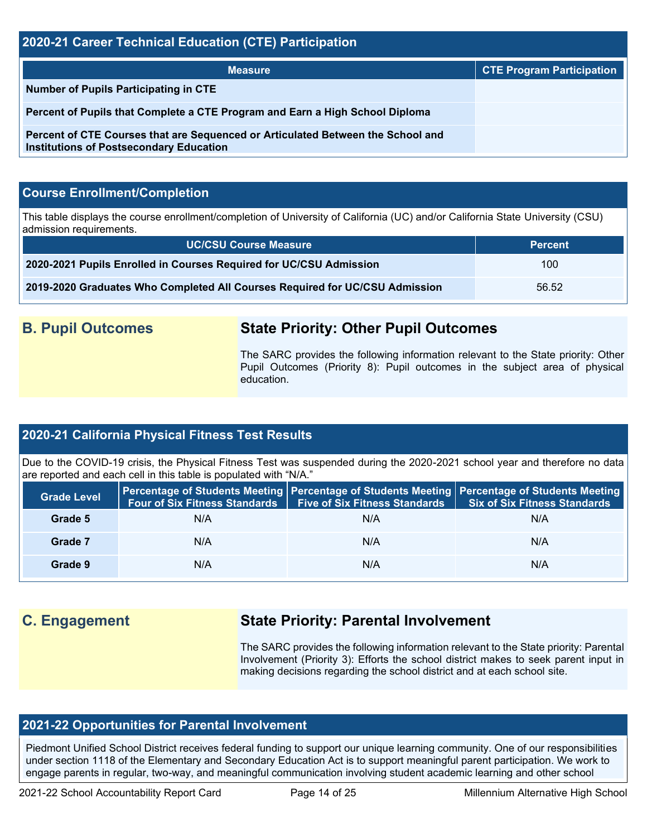#### **2020-21 Career Technical Education (CTE) Participation**

| <b>Measure</b>                                                                                                                    | <b>CTE Program Participation</b> |
|-----------------------------------------------------------------------------------------------------------------------------------|----------------------------------|
| Number of Pupils Participating in CTE                                                                                             |                                  |
| Percent of Pupils that Complete a CTE Program and Earn a High School Diploma                                                      |                                  |
| Percent of CTE Courses that are Sequenced or Articulated Between the School and<br><b>Institutions of Postsecondary Education</b> |                                  |

#### **Course Enrollment/Completion**

This table displays the course enrollment/completion of University of California (UC) and/or California State University (CSU) admission requirements.

| <b>UC/CSU Course Measure</b>                                                | <b>Percent</b> |
|-----------------------------------------------------------------------------|----------------|
| 2020-2021 Pupils Enrolled in Courses Required for UC/CSU Admission          | 100            |
| 2019-2020 Graduates Who Completed All Courses Required for UC/CSU Admission | 56.52          |

## **B. Pupil Outcomes State Priority: Other Pupil Outcomes**

The SARC provides the following information relevant to the State priority: Other Pupil Outcomes (Priority 8): Pupil outcomes in the subject area of physical education.

#### **2020-21 California Physical Fitness Test Results**

Due to the COVID-19 crisis, the Physical Fitness Test was suspended during the 2020-2021 school year and therefore no data are reported and each cell in this table is populated with "N/A."

| <b>Grade Level</b> | <b>Four of Six Fitness Standards</b> | <b>Five of Six Fitness Standards</b> | <b>Percentage of Students Meeting   Percentage of Students Meeting   Percentage of Students Meeting  </b><br><b>Six of Six Fitness Standards</b> |
|--------------------|--------------------------------------|--------------------------------------|--------------------------------------------------------------------------------------------------------------------------------------------------|
| Grade 5            | N/A                                  | N/A                                  | N/A                                                                                                                                              |
| Grade 7            | N/A                                  | N/A                                  | N/A                                                                                                                                              |
| Grade 9            | N/A                                  | N/A                                  | N/A                                                                                                                                              |

# **C. Engagement State Priority: Parental Involvement**

The SARC provides the following information relevant to the State priority: Parental Involvement (Priority 3): Efforts the school district makes to seek parent input in making decisions regarding the school district and at each school site.

### **2021-22 Opportunities for Parental Involvement**

Piedmont Unified School District receives federal funding to support our unique learning community. One of our responsibilities under section 1118 of the Elementary and Secondary Education Act is to support meaningful parent participation. We work to engage parents in regular, two-way, and meaningful communication involving student academic learning and other school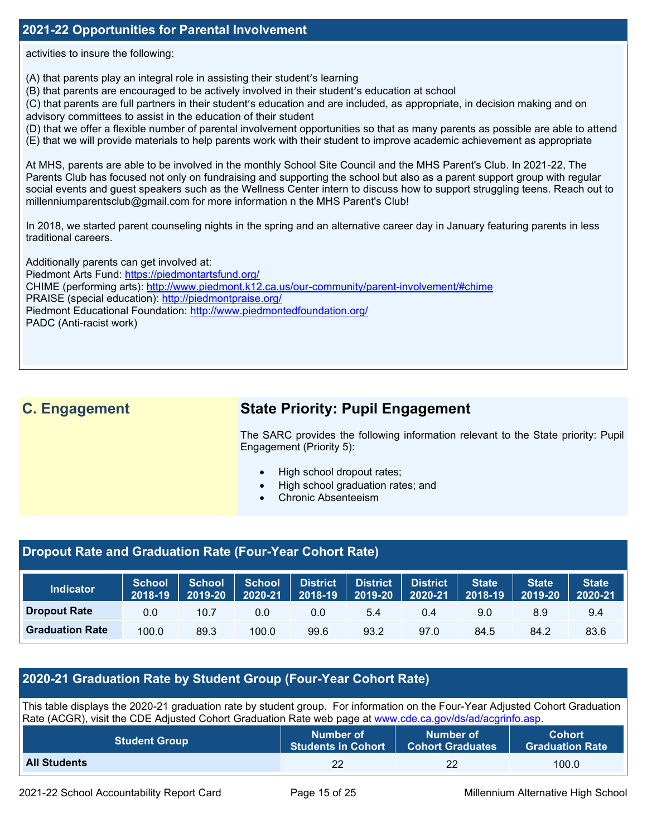#### **2021-22 Opportunities for Parental Involvement**

activities to insure the following:

(A) that parents play an integral role in assisting their student's learning

(B) that parents are encouraged to be actively involved in their student's education at school

(C) that parents are full partners in their student's education and are included, as appropriate, in decision making and on advisory committees to assist in the education of their student

(D) that we offer a flexible number of parental involvement opportunities so that as many parents as possible are able to attend

(E) that we will provide materials to help parents work with their student to improve academic achievement as appropriate

At MHS, parents are able to be involved in the monthly School Site Council and the MHS Parent's Club. In 2021-22, The Parents Club has focused not only on fundraising and supporting the school but also as a parent support group with regular social events and guest speakers such as the Wellness Center intern to discuss how to support struggling teens. Reach out to millenniumparentsclub@gmail.com for more information n the MHS Parent's Club!

In 2018, we started parent counseling nights in the spring and an alternative career day in January featuring parents in less traditional careers.

Additionally parents can get involved at: Piedmont Arts Fund:<https://piedmontartsfund.org/> CHIME (performing arts):<http://www.piedmont.k12.ca.us/our-community/parent-involvement/#chime> PRAISE (special education):<http://piedmontpraise.org/> Piedmont Educational Foundation:<http://www.piedmontedfoundation.org/> PADC (Anti-racist work)

# **C. Engagement State Priority: Pupil Engagement**

The SARC provides the following information relevant to the State priority: Pupil Engagement (Priority 5):

- High school dropout rates;
- High school graduation rates; and
- Chronic Absenteeism

#### **Dropout Rate and Graduation Rate (Four-Year Cohort Rate)**

| Indicator              | <b>School</b><br>  2018-19 | School<br>2019-20 | <b>School</b><br>2020-21 | <b>District</b><br>2018-19 | <b>District</b><br>2019-20 | <b>District</b><br>2020-21 | <b>State</b><br>2018-19 | <b>State</b><br>2019-20 | <b>State</b><br>2020-21 |
|------------------------|----------------------------|-------------------|--------------------------|----------------------------|----------------------------|----------------------------|-------------------------|-------------------------|-------------------------|
| <b>Dropout Rate</b>    | 0.0                        | 10.7              | 0.0                      | 0.0                        | 5.4                        | 0.4                        | 9.0                     | 8.9                     | 9.4                     |
| <b>Graduation Rate</b> | 100.0                      | 89.3              | 100.0                    | 99.6                       | 93.2                       | 97.0                       | 84.5                    | 84.2                    | 83.6                    |

#### **2020-21 Graduation Rate by Student Group (Four-Year Cohort Rate)**

This table displays the 2020-21 graduation rate by student group. For information on the Four-Year Adjusted Cohort Graduation Rate (ACGR), visit the CDE Adjusted Cohort Graduation Rate web page at [www.cde.ca.gov/ds/ad/acgrinfo.asp.](http://www.cde.ca.gov/ds/ad/acgrinfo.asp)

| <b>Student Group</b> | Number of                 | Number of               | <b>Cohort</b>          |
|----------------------|---------------------------|-------------------------|------------------------|
|                      | <b>Students in Cohort</b> | <b>Cohort Graduates</b> | <b>Graduation Rate</b> |
| <b>All Students</b>  |                           | 22                      | 100.0                  |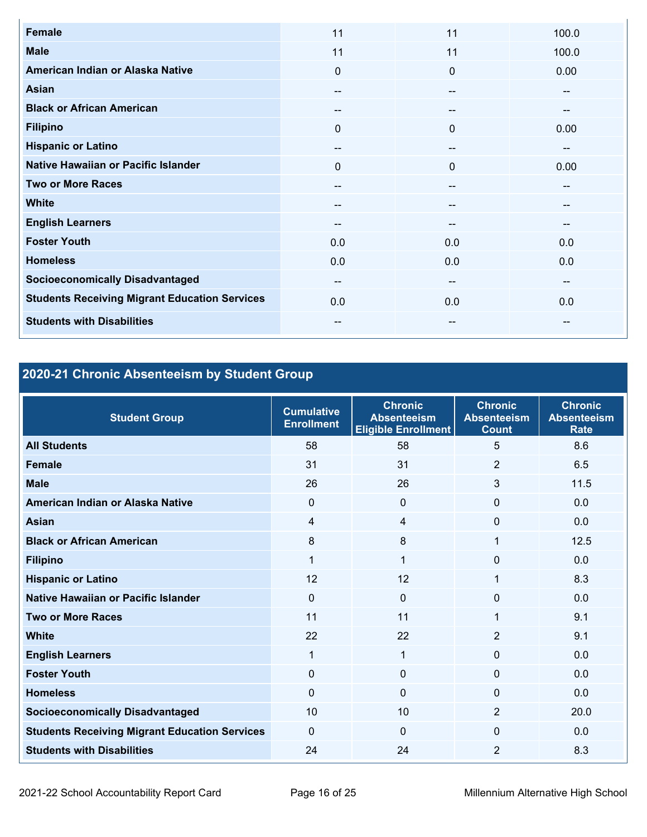| <b>Female</b>                                        | 11                       | 11       | 100.0                  |
|------------------------------------------------------|--------------------------|----------|------------------------|
| <b>Male</b>                                          | 11                       | 11       | 100.0                  |
| American Indian or Alaska Native                     | $\mathbf{0}$             | $\Omega$ | 0.00                   |
| Asian                                                | --                       | --       | --                     |
| <b>Black or African American</b>                     |                          | --       | --                     |
| <b>Filipino</b>                                      | $\mathbf{0}$             | $\Omega$ | 0.00                   |
| <b>Hispanic or Latino</b>                            | --                       | --       | $\qquad \qquad \cdots$ |
| Native Hawaiian or Pacific Islander                  | $\mathbf{0}$             | $\Omega$ | 0.00                   |
| <b>Two or More Races</b>                             | --                       |          | --                     |
| <b>White</b>                                         | --                       | --       | --                     |
| <b>English Learners</b>                              | --                       | --       | --                     |
| <b>Foster Youth</b>                                  | 0.0                      | 0.0      | 0.0                    |
| <b>Homeless</b>                                      | 0.0                      | 0.0      | 0.0                    |
| <b>Socioeconomically Disadvantaged</b>               | $\overline{\phantom{m}}$ | --       | $- -$                  |
| <b>Students Receiving Migrant Education Services</b> | 0.0                      | 0.0      | 0.0                    |
| <b>Students with Disabilities</b>                    | $\overline{\phantom{m}}$ | --       | $\qquad \qquad \cdots$ |

# **2020-21 Chronic Absenteeism by Student Group**

| <b>Student Group</b>                                 | <b>Cumulative</b><br><b>Enrollment</b> | <b>Chronic</b><br><b>Absenteeism</b><br><b>Eligible Enrollment</b> | <b>Chronic</b><br><b>Absenteeism</b><br><b>Count</b> | <b>Chronic</b><br><b>Absenteeism</b><br><b>Rate</b> |
|------------------------------------------------------|----------------------------------------|--------------------------------------------------------------------|------------------------------------------------------|-----------------------------------------------------|
| <b>All Students</b>                                  | 58                                     | 58                                                                 | 5                                                    | 8.6                                                 |
| <b>Female</b>                                        | 31                                     | 31                                                                 | $\overline{2}$                                       | 6.5                                                 |
| <b>Male</b>                                          | 26                                     | 26                                                                 | 3                                                    | 11.5                                                |
| American Indian or Alaska Native                     | $\Omega$                               | $\mathbf 0$                                                        | 0                                                    | 0.0                                                 |
| <b>Asian</b>                                         | $\overline{4}$                         | 4                                                                  | $\Omega$                                             | 0.0                                                 |
| <b>Black or African American</b>                     | 8                                      | 8                                                                  | $\mathbf{1}$                                         | 12.5                                                |
| <b>Filipino</b>                                      | 1                                      | 1                                                                  | 0                                                    | 0.0                                                 |
| <b>Hispanic or Latino</b>                            | 12                                     | 12                                                                 | 1                                                    | 8.3                                                 |
| Native Hawaiian or Pacific Islander                  | $\Omega$                               | $\Omega$                                                           | $\Omega$                                             | 0.0                                                 |
| <b>Two or More Races</b>                             | 11                                     | 11                                                                 | 1                                                    | 9.1                                                 |
| <b>White</b>                                         | 22                                     | 22                                                                 | 2                                                    | 9.1                                                 |
| <b>English Learners</b>                              | 1                                      | 1                                                                  | $\mathbf 0$                                          | 0.0                                                 |
| <b>Foster Youth</b>                                  | $\Omega$                               | $\Omega$                                                           | $\Omega$                                             | 0.0                                                 |
| <b>Homeless</b>                                      | $\Omega$                               | $\Omega$                                                           | $\Omega$                                             | 0.0                                                 |
| <b>Socioeconomically Disadvantaged</b>               | 10                                     | 10                                                                 | $\overline{2}$                                       | 20.0                                                |
| <b>Students Receiving Migrant Education Services</b> | $\Omega$                               | $\mathbf 0$                                                        | $\Omega$                                             | 0.0                                                 |
| <b>Students with Disabilities</b>                    | 24                                     | 24                                                                 | $\overline{2}$                                       | 8.3                                                 |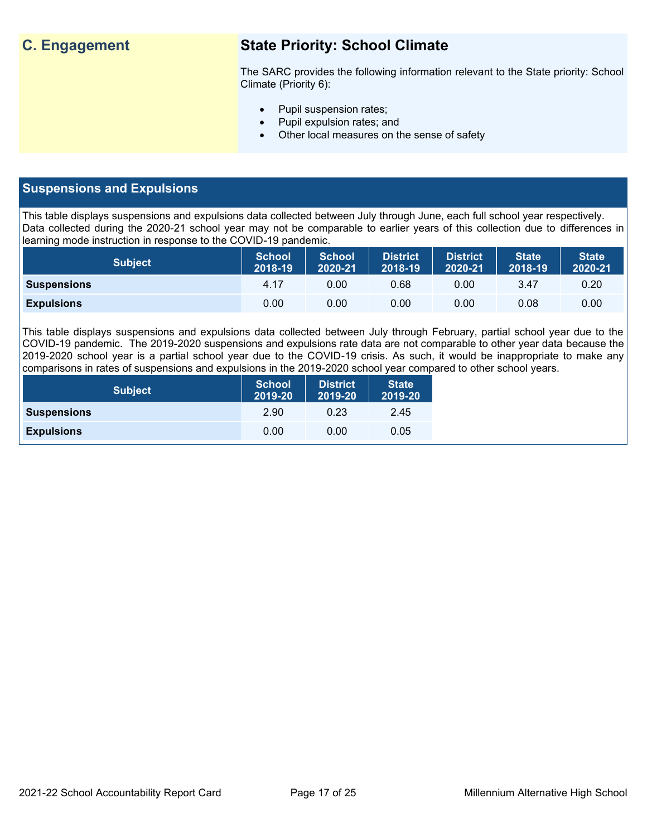# **C. Engagement State Priority: School Climate**

The SARC provides the following information relevant to the State priority: School Climate (Priority 6):

- Pupil suspension rates;
- Pupil expulsion rates; and
- Other local measures on the sense of safety

#### **Suspensions and Expulsions**

This table displays suspensions and expulsions data collected between July through June, each full school year respectively. Data collected during the 2020-21 school year may not be comparable to earlier years of this collection due to differences in learning mode instruction in response to the COVID-19 pandemic.

| <b>Subject</b>     | <b>School</b><br>2018-19 | <b>School</b><br>2020-21 | <b>District</b><br>2018-19 | <b>District</b><br>2020-21 | <b>State</b><br>2018-19 | <b>State</b><br>2020-21 |
|--------------------|--------------------------|--------------------------|----------------------------|----------------------------|-------------------------|-------------------------|
| <b>Suspensions</b> | 4.17                     | 0.00                     | 0.68                       | 0.00                       | 3.47                    | $0.20^{\circ}$          |
| <b>Expulsions</b>  | 0.00                     | 0.00                     | 0.00                       | 0.00                       | 0.08                    | 0.00                    |

This table displays suspensions and expulsions data collected between July through February, partial school year due to the COVID-19 pandemic. The 2019-2020 suspensions and expulsions rate data are not comparable to other year data because the 2019-2020 school year is a partial school year due to the COVID-19 crisis. As such, it would be inappropriate to make any comparisons in rates of suspensions and expulsions in the 2019-2020 school year compared to other school years.

| <b>Subject</b>     | <b>School</b><br>2019-20 | <b>District</b><br>2019-20 | <b>State</b><br>2019-20 |
|--------------------|--------------------------|----------------------------|-------------------------|
| <b>Suspensions</b> | 2.90                     | 0.23                       | 2.45                    |
| <b>Expulsions</b>  | 0.00                     | 0.00                       | 0.05                    |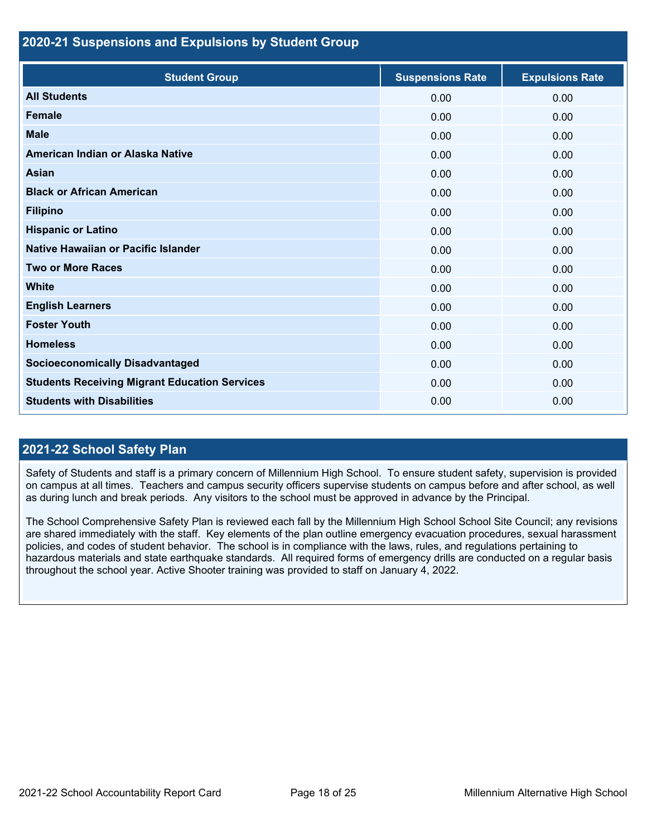#### **2020-21 Suspensions and Expulsions by Student Group**

| <b>Student Group</b>                                 | <b>Suspensions Rate</b> | <b>Expulsions Rate</b> |
|------------------------------------------------------|-------------------------|------------------------|
| <b>All Students</b>                                  | 0.00                    | 0.00                   |
| <b>Female</b>                                        | 0.00                    | 0.00                   |
| <b>Male</b>                                          | 0.00                    | 0.00                   |
| American Indian or Alaska Native                     | 0.00                    | 0.00                   |
| <b>Asian</b>                                         | 0.00                    | 0.00                   |
| <b>Black or African American</b>                     | 0.00                    | 0.00                   |
| <b>Filipino</b>                                      | 0.00                    | 0.00                   |
| <b>Hispanic or Latino</b>                            | 0.00                    | 0.00                   |
| Native Hawaiian or Pacific Islander                  | 0.00                    | 0.00                   |
| <b>Two or More Races</b>                             | 0.00                    | 0.00                   |
| <b>White</b>                                         | 0.00                    | 0.00                   |
| <b>English Learners</b>                              | 0.00                    | 0.00                   |
| <b>Foster Youth</b>                                  | 0.00                    | 0.00                   |
| <b>Homeless</b>                                      | 0.00                    | 0.00                   |
| <b>Socioeconomically Disadvantaged</b>               | 0.00                    | 0.00                   |
| <b>Students Receiving Migrant Education Services</b> | 0.00                    | 0.00                   |
| <b>Students with Disabilities</b>                    | 0.00                    | 0.00                   |

#### **2021-22 School Safety Plan**

Safety of Students and staff is a primary concern of Millennium High School. To ensure student safety, supervision is provided on campus at all times. Teachers and campus security officers supervise students on campus before and after school, as well as during lunch and break periods. Any visitors to the school must be approved in advance by the Principal.

The School Comprehensive Safety Plan is reviewed each fall by the Millennium High School School Site Council; any revisions are shared immediately with the staff. Key elements of the plan outline emergency evacuation procedures, sexual harassment policies, and codes of student behavior. The school is in compliance with the laws, rules, and regulations pertaining to hazardous materials and state earthquake standards. All required forms of emergency drills are conducted on a regular basis throughout the school year. Active Shooter training was provided to staff on January 4, 2022.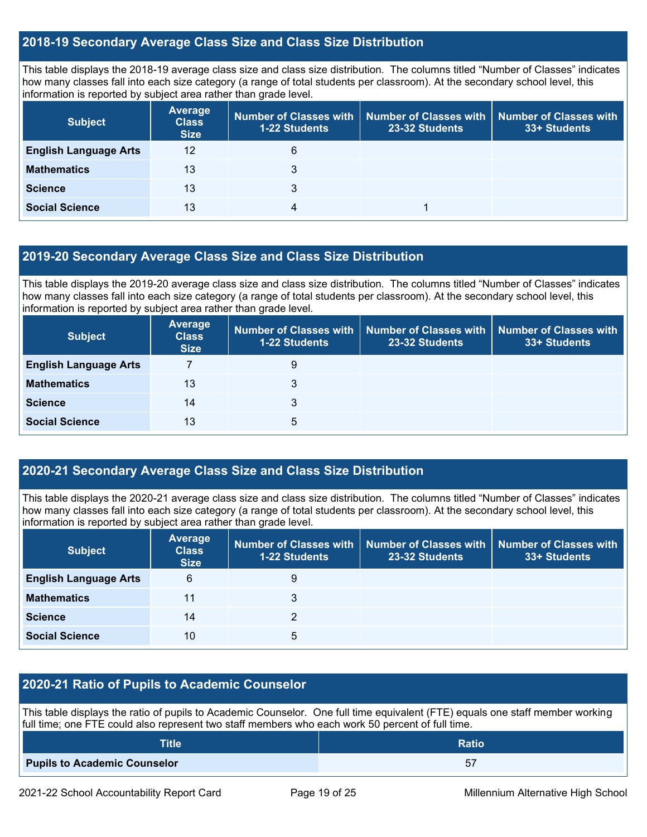#### **2018-19 Secondary Average Class Size and Class Size Distribution**

This table displays the 2018-19 average class size and class size distribution. The columns titled "Number of Classes" indicates how many classes fall into each size category (a range of total students per classroom). At the secondary school level, this information is reported by subject area rather than grade level.

| <b>Subject</b>               | Average<br><b>Class</b><br><b>Size</b> | <b>1-22 Students</b> | Number of Classes with │ Number of Classes with │<br>23-32 Students | Number of Classes with<br>33+ Students |
|------------------------------|----------------------------------------|----------------------|---------------------------------------------------------------------|----------------------------------------|
| <b>English Language Arts</b> | 12                                     | 6                    |                                                                     |                                        |
| <b>Mathematics</b>           | 13                                     | 3                    |                                                                     |                                        |
| <b>Science</b>               | 13                                     | 3                    |                                                                     |                                        |
| <b>Social Science</b>        | 13                                     | 4                    |                                                                     |                                        |

#### **2019-20 Secondary Average Class Size and Class Size Distribution**

This table displays the 2019-20 average class size and class size distribution. The columns titled "Number of Classes" indicates how many classes fall into each size category (a range of total students per classroom). At the secondary school level, this information is reported by subject area rather than grade level.

| <b>Subject</b>               | Average<br><b>Class</b><br><b>Size</b> | <b>1-22 Students</b> | Number of Classes with   Number of Classes with   Number of Classes with<br>23-32 Students | 33+ Students |
|------------------------------|----------------------------------------|----------------------|--------------------------------------------------------------------------------------------|--------------|
| <b>English Language Arts</b> |                                        | 9                    |                                                                                            |              |
| <b>Mathematics</b>           | 13                                     | 3                    |                                                                                            |              |
| <b>Science</b>               | 14                                     | 3                    |                                                                                            |              |
| <b>Social Science</b>        | 13                                     | 5                    |                                                                                            |              |

#### **2020-21 Secondary Average Class Size and Class Size Distribution**

This table displays the 2020-21 average class size and class size distribution. The columns titled "Number of Classes" indicates how many classes fall into each size category (a range of total students per classroom). At the secondary school level, this information is reported by subject area rather than grade level.

| <b>Subject</b>               | Average<br><b>Class</b><br><b>Size</b> | 1-22 Students | Number of Classes with   Number of Classes with  <br>23-32 Students | <b>Number of Classes with</b><br>33+ Students |
|------------------------------|----------------------------------------|---------------|---------------------------------------------------------------------|-----------------------------------------------|
| <b>English Language Arts</b> | 6                                      | 9             |                                                                     |                                               |
| <b>Mathematics</b>           | 11                                     | 3             |                                                                     |                                               |
| <b>Science</b>               | 14                                     | っ             |                                                                     |                                               |
| <b>Social Science</b>        | 10                                     | 5             |                                                                     |                                               |

#### **2020-21 Ratio of Pupils to Academic Counselor**

This table displays the ratio of pupils to Academic Counselor. One full time equivalent (FTE) equals one staff member working full time; one FTE could also represent two staff members who each work 50 percent of full time.

| <b>Title</b>                        | <b>Ratio</b> |
|-------------------------------------|--------------|
| <b>Pupils to Academic Counselor</b> | г.<br>ত।     |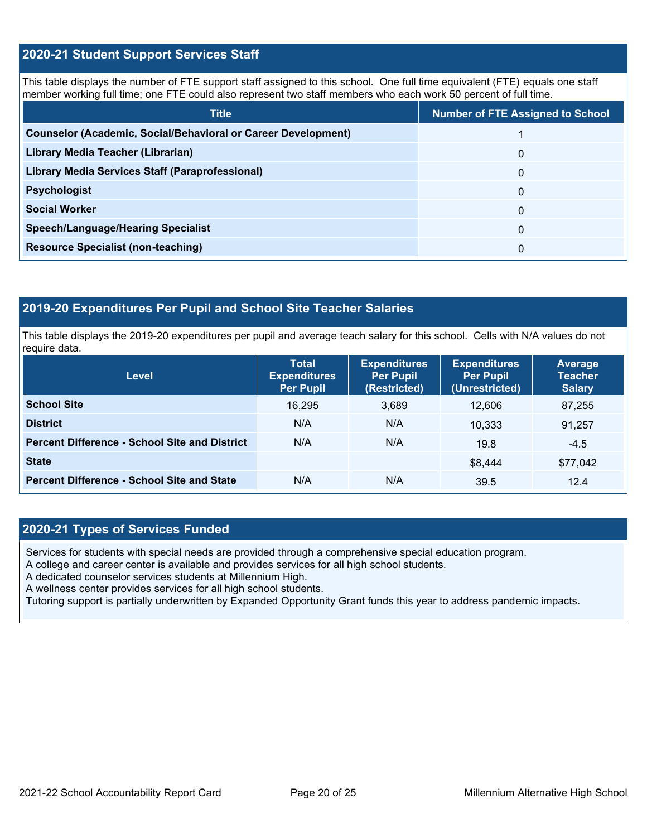### **2020-21 Student Support Services Staff**

This table displays the number of FTE support staff assigned to this school. One full time equivalent (FTE) equals one staff member working full time; one FTE could also represent two staff members who each work 50 percent of full time.

| <b>Title</b>                                                         | <b>Number of FTE Assigned to School</b> |
|----------------------------------------------------------------------|-----------------------------------------|
| <b>Counselor (Academic, Social/Behavioral or Career Development)</b> |                                         |
| Library Media Teacher (Librarian)                                    | $\Omega$                                |
| <b>Library Media Services Staff (Paraprofessional)</b>               | $\Omega$                                |
| <b>Psychologist</b>                                                  | $\Omega$                                |
| <b>Social Worker</b>                                                 | 0                                       |
| <b>Speech/Language/Hearing Specialist</b>                            | $\Omega$                                |
| <b>Resource Specialist (non-teaching)</b>                            | 0                                       |

#### **2019-20 Expenditures Per Pupil and School Site Teacher Salaries**

This table displays the 2019-20 expenditures per pupil and average teach salary for this school. Cells with N/A values do not require data.

| Level                                                | <b>Total</b><br><b>Expenditures</b><br><b>Per Pupil</b> | <b>Expenditures</b><br><b>Per Pupil</b><br>(Restricted) | <b>Expenditures</b><br><b>Per Pupil</b><br>(Unrestricted) | Average<br><b>Teacher</b><br><b>Salary</b> |
|------------------------------------------------------|---------------------------------------------------------|---------------------------------------------------------|-----------------------------------------------------------|--------------------------------------------|
| <b>School Site</b>                                   | 16,295                                                  | 3,689                                                   | 12.606                                                    | 87,255                                     |
| <b>District</b>                                      | N/A                                                     | N/A                                                     | 10.333                                                    | 91,257                                     |
| <b>Percent Difference - School Site and District</b> | N/A                                                     | N/A                                                     | 19.8                                                      | $-4.5$                                     |
| <b>State</b>                                         |                                                         |                                                         | \$8.444                                                   | \$77,042                                   |
| <b>Percent Difference - School Site and State</b>    | N/A                                                     | N/A                                                     | 39.5                                                      | 12.4                                       |

#### **2020-21 Types of Services Funded**

Services for students with special needs are provided through a comprehensive special education program.

A college and career center is available and provides services for all high school students.

A dedicated counselor services students at Millennium High.

A wellness center provides services for all high school students.

Tutoring support is partially underwritten by Expanded Opportunity Grant funds this year to address pandemic impacts.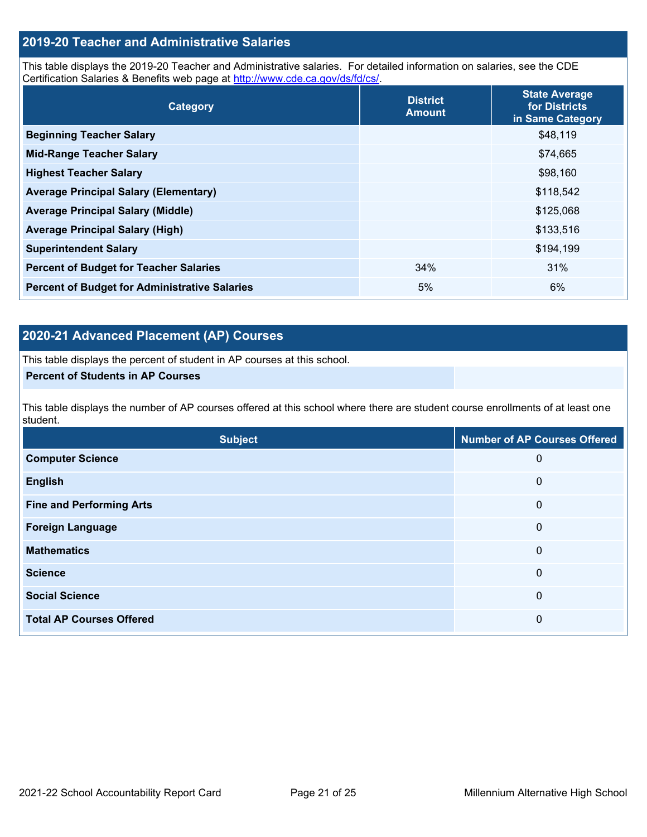#### **2019-20 Teacher and Administrative Salaries**

This table displays the 2019-20 Teacher and Administrative salaries. For detailed information on salaries, see the CDE Certification Salaries & Benefits web page at [http://www.cde.ca.gov/ds/fd/cs/.](http://www.cde.ca.gov/ds/fd/cs/)

| Category                                             | <b>District</b><br><b>Amount</b> | <b>State Average</b><br>for Districts<br>in Same Category |
|------------------------------------------------------|----------------------------------|-----------------------------------------------------------|
| <b>Beginning Teacher Salary</b>                      |                                  | \$48,119                                                  |
| <b>Mid-Range Teacher Salary</b>                      |                                  | \$74,665                                                  |
| <b>Highest Teacher Salary</b>                        |                                  | \$98,160                                                  |
| <b>Average Principal Salary (Elementary)</b>         |                                  | \$118,542                                                 |
| <b>Average Principal Salary (Middle)</b>             |                                  | \$125,068                                                 |
| <b>Average Principal Salary (High)</b>               |                                  | \$133,516                                                 |
| <b>Superintendent Salary</b>                         |                                  | \$194,199                                                 |
| <b>Percent of Budget for Teacher Salaries</b>        | 34%                              | 31%                                                       |
| <b>Percent of Budget for Administrative Salaries</b> | 5%                               | 6%                                                        |

### **2020-21 Advanced Placement (AP) Courses**

This table displays the percent of student in AP courses at this school.

#### **Percent of Students in AP Courses**

This table displays the number of AP courses offered at this school where there are student course enrollments of at least one student.

| <b>Subject</b>                  | <b>Number of AP Courses Offered</b> |
|---------------------------------|-------------------------------------|
| <b>Computer Science</b>         | 0                                   |
| <b>English</b>                  | 0                                   |
| <b>Fine and Performing Arts</b> | 0                                   |
| <b>Foreign Language</b>         | 0                                   |
| <b>Mathematics</b>              | 0                                   |
| <b>Science</b>                  | 0                                   |
| <b>Social Science</b>           | 0                                   |
| <b>Total AP Courses Offered</b> | 0                                   |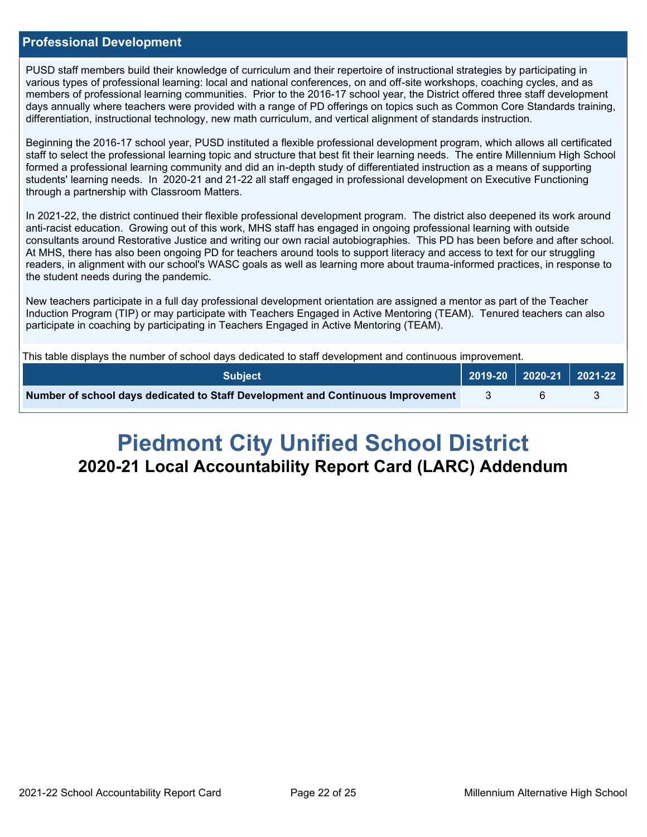#### **Professional Development**

PUSD staff members build their knowledge of curriculum and their repertoire of instructional strategies by participating in various types of professional learning: local and national conferences, on and off-site workshops, coaching cycles, and as members of professional learning communities. Prior to the 2016-17 school year, the District offered three staff development days annually where teachers were provided with a range of PD offerings on topics such as Common Core Standards training, differentiation, instructional technology, new math curriculum, and vertical alignment of standards instruction.

Beginning the 2016-17 school year, PUSD instituted a flexible professional development program, which allows all certificated staff to select the professional learning topic and structure that best fit their learning needs. The entire Millennium High School formed a professional learning community and did an in-depth study of differentiated instruction as a means of supporting students' learning needs. In 2020-21 and 21-22 all staff engaged in professional development on Executive Functioning through a partnership with Classroom Matters.

In 2021-22, the district continued their flexible professional development program. The district also deepened its work around anti-racist education. Growing out of this work, MHS staff has engaged in ongoing professional learning with outside consultants around Restorative Justice and writing our own racial autobiographies. This PD has been before and after school. At MHS, there has also been ongoing PD for teachers around tools to support literacy and access to text for our struggling readers, in alignment with our school's WASC goals as well as learning more about trauma-informed practices, in response to the student needs during the pandemic.

New teachers participate in a full day professional development orientation are assigned a mentor as part of the Teacher Induction Program (TIP) or may participate with Teachers Engaged in Active Mentoring (TEAM). Tenured teachers can also participate in coaching by participating in Teachers Engaged in Active Mentoring (TEAM).

This table displays the number of school days dedicated to staff development and continuous improvement.

| Number of school days dedicated to Staff Development and Continuous Improvement |  |  |
|---------------------------------------------------------------------------------|--|--|

# **Piedmont City Unified School District 2020-21 Local Accountability Report Card (LARC) Addendum**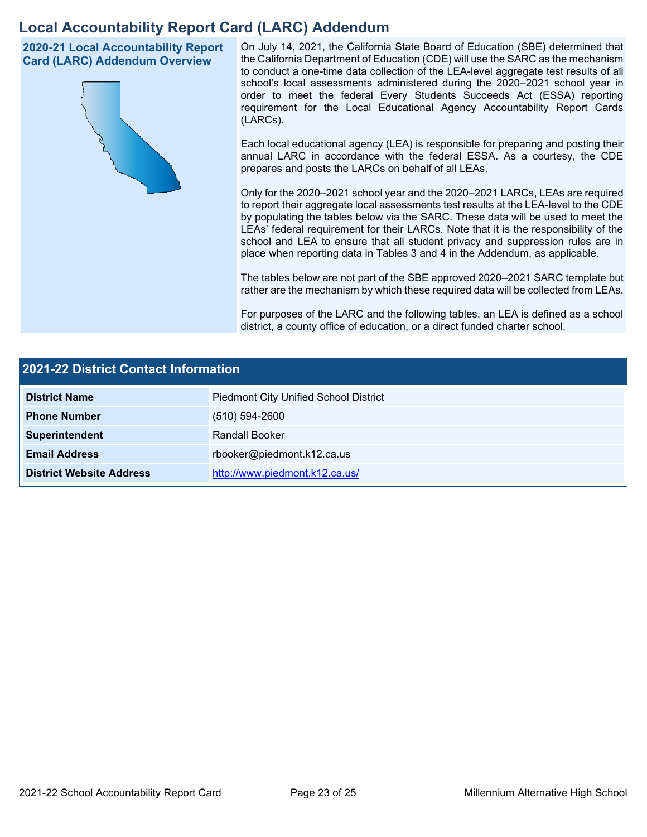# **Local Accountability Report Card (LARC) Addendum**

**2020-21 Local Accountability Report Card (LARC) Addendum Overview**



On July 14, 2021, the California State Board of Education (SBE) determined that the California Department of Education (CDE) will use the SARC as the mechanism to conduct a one-time data collection of the LEA-level aggregate test results of all school's local assessments administered during the 2020–2021 school year in order to meet the federal Every Students Succeeds Act (ESSA) reporting requirement for the Local Educational Agency Accountability Report Cards (LARCs).

Each local educational agency (LEA) is responsible for preparing and posting their annual LARC in accordance with the federal ESSA. As a courtesy, the CDE prepares and posts the LARCs on behalf of all LEAs.

Only for the 2020–2021 school year and the 2020–2021 LARCs, LEAs are required to report their aggregate local assessments test results at the LEA-level to the CDE by populating the tables below via the SARC. These data will be used to meet the LEAs' federal requirement for their LARCs. Note that it is the responsibility of the school and LEA to ensure that all student privacy and suppression rules are in place when reporting data in Tables 3 and 4 in the Addendum, as applicable.

The tables below are not part of the SBE approved 2020–2021 SARC template but rather are the mechanism by which these required data will be collected from LEAs.

For purposes of the LARC and the following tables, an LEA is defined as a school district, a county office of education, or a direct funded charter school.

| <b>2021-22 District Contact Information</b> |                                              |  |  |  |
|---------------------------------------------|----------------------------------------------|--|--|--|
| <b>District Name</b>                        | <b>Piedmont City Unified School District</b> |  |  |  |
| <b>Phone Number</b>                         | $(510) 594 - 2600$                           |  |  |  |
| Superintendent                              | Randall Booker                               |  |  |  |
| <b>Email Address</b>                        | rbooker@piedmont.k12.ca.us                   |  |  |  |
| <b>District Website Address</b>             | http://www.piedmont.k12.ca.us/               |  |  |  |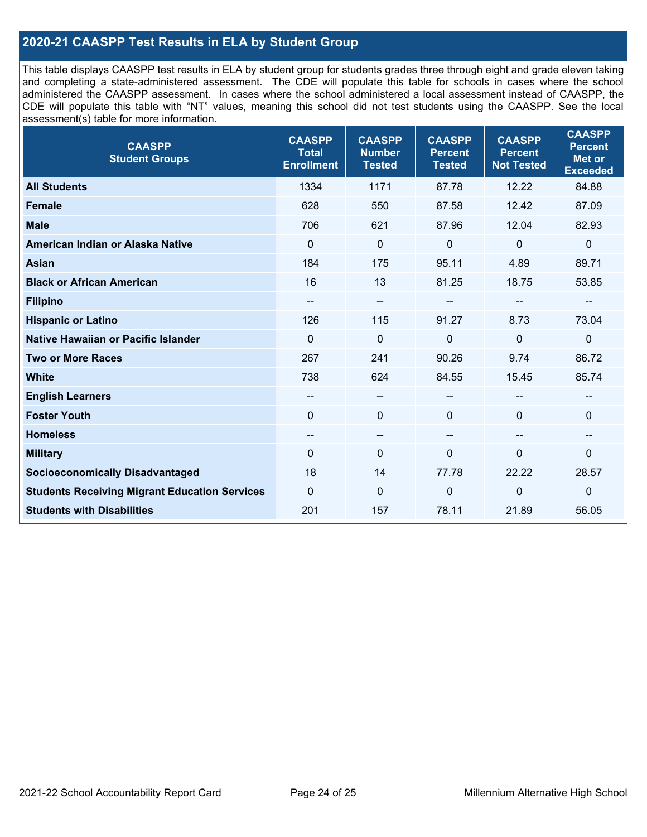### **2020-21 CAASPP Test Results in ELA by Student Group**

This table displays CAASPP test results in ELA by student group for students grades three through eight and grade eleven taking and completing a state-administered assessment. The CDE will populate this table for schools in cases where the school administered the CAASPP assessment. In cases where the school administered a local assessment instead of CAASPP, the CDE will populate this table with "NT" values, meaning this school did not test students using the CAASPP. See the local assessment(s) table for more information.

| <b>CAASPP</b><br><b>Student Groups</b>               | <b>CAASPP</b><br><b>Total</b><br><b>Enrollment</b> | <b>CAASPP</b><br><b>Number</b><br><b>Tested</b> | <b>CAASPP</b><br><b>Percent</b><br><b>Tested</b> | <b>CAASPP</b><br><b>Percent</b><br><b>Not Tested</b> | <b>CAASPP</b><br><b>Percent</b><br><b>Met or</b><br><b>Exceeded</b> |
|------------------------------------------------------|----------------------------------------------------|-------------------------------------------------|--------------------------------------------------|------------------------------------------------------|---------------------------------------------------------------------|
| <b>All Students</b>                                  | 1334                                               | 1171                                            | 87.78                                            | 12.22                                                | 84.88                                                               |
| <b>Female</b>                                        | 628                                                | 550                                             | 87.58                                            | 12.42                                                | 87.09                                                               |
| <b>Male</b>                                          | 706                                                | 621                                             | 87.96                                            | 12.04                                                | 82.93                                                               |
| American Indian or Alaska Native                     | $\mathbf 0$                                        | $\mathbf 0$                                     | $\mathbf 0$                                      | $\mathbf 0$                                          | $\mathbf 0$                                                         |
| <b>Asian</b>                                         | 184                                                | 175                                             | 95.11                                            | 4.89                                                 | 89.71                                                               |
| <b>Black or African American</b>                     | 16                                                 | 13                                              | 81.25                                            | 18.75                                                | 53.85                                                               |
| <b>Filipino</b>                                      | --                                                 | $\overline{\phantom{m}}$                        |                                                  | --                                                   |                                                                     |
| <b>Hispanic or Latino</b>                            | 126                                                | 115                                             | 91.27                                            | 8.73                                                 | 73.04                                                               |
| <b>Native Hawaiian or Pacific Islander</b>           | $\Omega$                                           | $\mathbf 0$                                     | 0                                                | $\overline{0}$                                       | $\mathbf 0$                                                         |
| <b>Two or More Races</b>                             | 267                                                | 241                                             | 90.26                                            | 9.74                                                 | 86.72                                                               |
| <b>White</b>                                         | 738                                                | 624                                             | 84.55                                            | 15.45                                                | 85.74                                                               |
| <b>English Learners</b>                              | --                                                 | $\overline{\phantom{m}}$                        | --                                               |                                                      |                                                                     |
| <b>Foster Youth</b>                                  | $\Omega$                                           | $\mathbf 0$                                     | $\mathbf{0}$                                     | $\Omega$                                             | 0                                                                   |
| <b>Homeless</b>                                      | --                                                 | $\overline{\phantom{m}}$                        | --                                               | $\overline{\phantom{a}}$                             | --                                                                  |
| <b>Military</b>                                      | 0                                                  | $\pmb{0}$                                       | 0                                                | 0                                                    | 0                                                                   |
| <b>Socioeconomically Disadvantaged</b>               | 18                                                 | 14                                              | 77.78                                            | 22.22                                                | 28.57                                                               |
| <b>Students Receiving Migrant Education Services</b> | $\Omega$                                           | $\mathbf 0$                                     | 0                                                | $\mathbf 0$                                          | $\mathbf 0$                                                         |
| <b>Students with Disabilities</b>                    | 201                                                | 157                                             | 78.11                                            | 21.89                                                | 56.05                                                               |